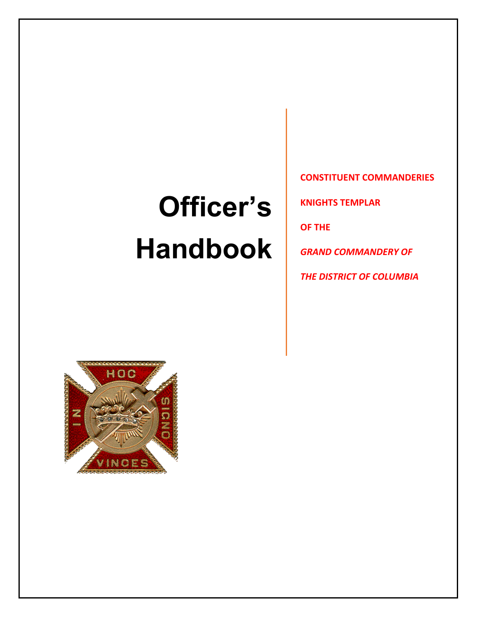# **Officer's Handbook**

**CONSTITUENT COMMANDERIES**

**KNIGHTS TEMPLAR**

**OF THE**

*GRAND COMMANDERY OF* 

*THE DISTRICT OF COLUMBIA*

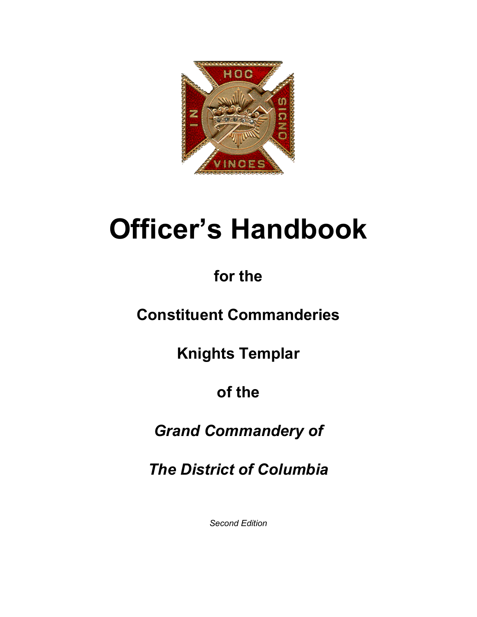

# **Officer's Handbook**

# **for the**

# **Constituent Commanderies**

**Knights Templar**

# **of the**

# *Grand Commandery of*

*The District of Columbia*

*Second Edition*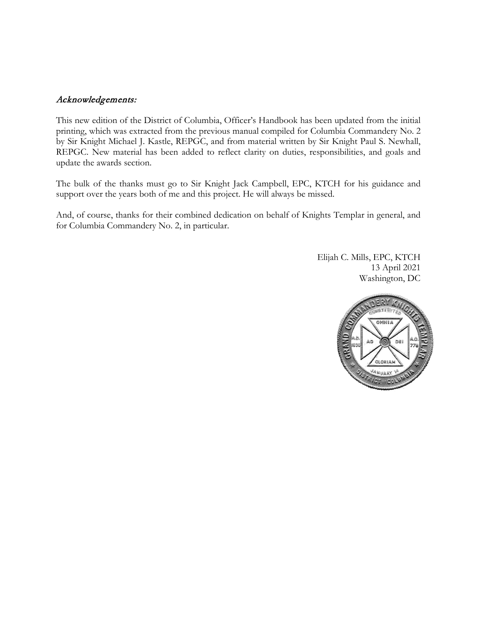# Acknowledgements:

This new edition of the District of Columbia, Officer's Handbook has been updated from the initial printing, which was extracted from the previous manual compiled for Columbia Commandery No. 2 by Sir Knight Michael J. Kastle, REPGC, and from material written by Sir Knight Paul S. Newhall, REPGC. New material has been added to reflect clarity on duties, responsibilities, and goals and update the awards section.

The bulk of the thanks must go to Sir Knight Jack Campbell, EPC, KTCH for his guidance and support over the years both of me and this project. He will always be missed.

And, of course, thanks for their combined dedication on behalf of Knights Templar in general, and for Columbia Commandery No. 2, in particular.

> Elijah C. Mills, EPC, KTCH 13 April 2021 Washington, DC

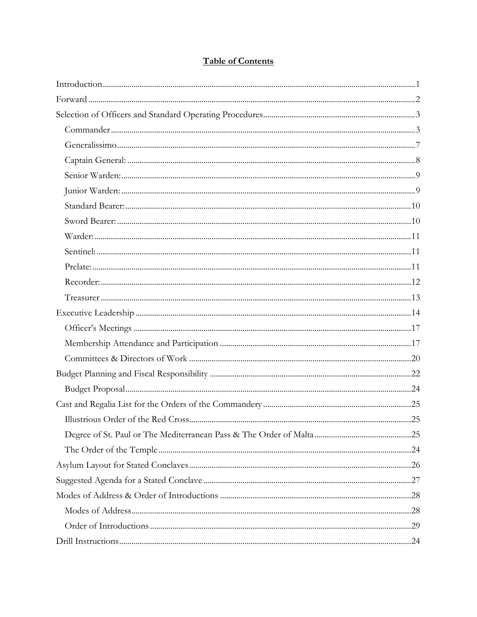# **Table of Contents**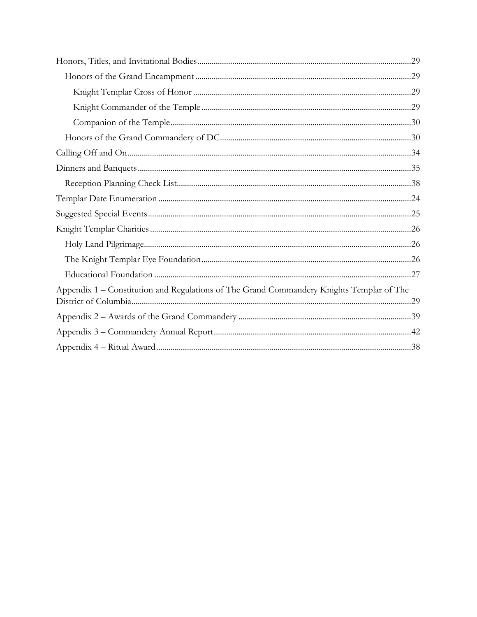| Appendix 1 – Constitution and Regulations of The Grand Commandery Knights Templar of The |  |
|------------------------------------------------------------------------------------------|--|
|                                                                                          |  |
|                                                                                          |  |
|                                                                                          |  |
|                                                                                          |  |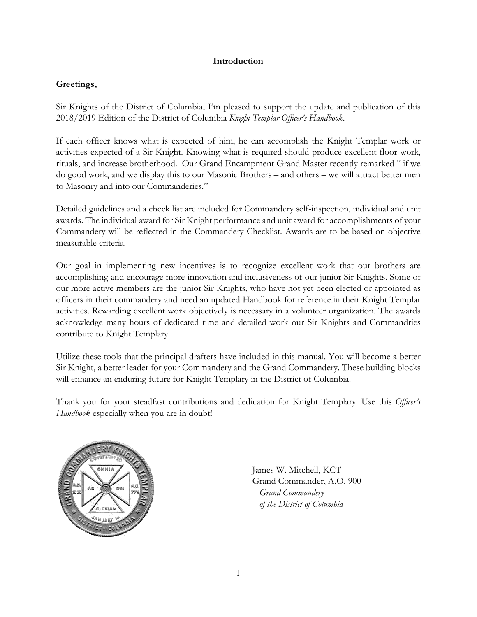# **Introduction**

# <span id="page-6-0"></span>**Greetings,**

Sir Knights of the District of Columbia, I'm pleased to support the update and publication of this 2018/2019 Edition of the District of Columbia *Knight Templar Officer's Handbook.* 

If each officer knows what is expected of him, he can accomplish the Knight Templar work or activities expected of a Sir Knight. Knowing what is required should produce excellent floor work, rituals, and increase brotherhood. Our Grand Encampment Grand Master recently remarked " if we do good work, and we display this to our Masonic Brothers – and others – we will attract better men to Masonry and into our Commanderies."

Detailed guidelines and a check list are included for Commandery self-inspection, individual and unit awards. The individual award for Sir Knight performance and unit award for accomplishments of your Commandery will be reflected in the Commandery Checklist. Awards are to be based on objective measurable criteria.

Our goal in implementing new incentives is to recognize excellent work that our brothers are accomplishing and encourage more innovation and inclusiveness of our junior Sir Knights. Some of our more active members are the junior Sir Knights, who have not yet been elected or appointed as officers in their commandery and need an updated Handbook for reference.in their Knight Templar activities. Rewarding excellent work objectively is necessary in a volunteer organization. The awards acknowledge many hours of dedicated time and detailed work our Sir Knights and Commandries contribute to Knight Templary.

Utilize these tools that the principal drafters have included in this manual. You will become a better Sir Knight, a better leader for your Commandery and the Grand Commandery. These building blocks will enhance an enduring future for Knight Templary in the District of Columbia!

Thank you for your steadfast contributions and dedication for Knight Templary. Use this *Officer's Handbook* especially when you are in doubt!



James W. Mitchell, KCT Grand Commander, A.O. 900 *Grand Commandery of the District of Columbia*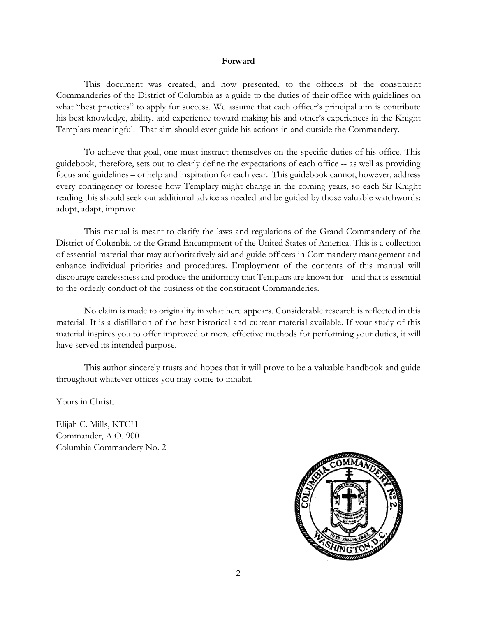#### **Forward**

<span id="page-7-0"></span>This document was created, and now presented, to the officers of the constituent Commanderies of the District of Columbia as a guide to the duties of their office with guidelines on what "best practices" to apply for success. We assume that each officer's principal aim is contribute his best knowledge, ability, and experience toward making his and other's experiences in the Knight Templars meaningful. That aim should ever guide his actions in and outside the Commandery.

To achieve that goal, one must instruct themselves on the specific duties of his office. This guidebook, therefore, sets out to clearly define the expectations of each office -- as well as providing focus and guidelines – or help and inspiration for each year. This guidebook cannot, however, address every contingency or foresee how Templary might change in the coming years, so each Sir Knight reading this should seek out additional advice as needed and be guided by those valuable watchwords: adopt, adapt, improve.

This manual is meant to clarify the laws and regulations of the Grand Commandery of the District of Columbia or the Grand Encampment of the United States of America. This is a collection of essential material that may authoritatively aid and guide officers in Commandery management and enhance individual priorities and procedures. Employment of the contents of this manual will discourage carelessness and produce the uniformity that Templars are known for – and that is essential to the orderly conduct of the business of the constituent Commanderies.

No claim is made to originality in what here appears. Considerable research is reflected in this material. It is a distillation of the best historical and current material available. If your study of this material inspires you to offer improved or more effective methods for performing your duties, it will have served its intended purpose.

This author sincerely trusts and hopes that it will prove to be a valuable handbook and guide throughout whatever offices you may come to inhabit.

Yours in Christ,

Elijah C. Mills, KTCH Commander, A.O. 900 Columbia Commandery No. 2

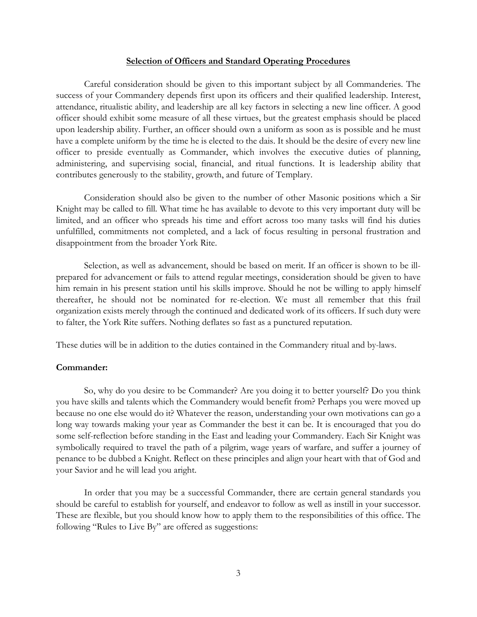#### **Selection of Officers and Standard Operating Procedures**

<span id="page-8-0"></span>Careful consideration should be given to this important subject by all Commanderies. The success of your Commandery depends first upon its officers and their qualified leadership. Interest, attendance, ritualistic ability, and leadership are all key factors in selecting a new line officer. A good officer should exhibit some measure of all these virtues, but the greatest emphasis should be placed upon leadership ability. Further, an officer should own a uniform as soon as is possible and he must have a complete uniform by the time he is elected to the dais. It should be the desire of every new line officer to preside eventually as Commander, which involves the executive duties of planning, administering, and supervising social, financial, and ritual functions. It is leadership ability that contributes generously to the stability, growth, and future of Templary.

Consideration should also be given to the number of other Masonic positions which a Sir Knight may be called to fill. What time he has available to devote to this very important duty will be limited, and an officer who spreads his time and effort across too many tasks will find his duties unfulfilled, commitments not completed, and a lack of focus resulting in personal frustration and disappointment from the broader York Rite.

Selection, as well as advancement, should be based on merit. If an officer is shown to be illprepared for advancement or fails to attend regular meetings, consideration should be given to have him remain in his present station until his skills improve. Should he not be willing to apply himself thereafter, he should not be nominated for re-election. We must all remember that this frail organization exists merely through the continued and dedicated work of its officers. If such duty were to falter, the York Rite suffers. Nothing deflates so fast as a punctured reputation.

These duties will be in addition to the duties contained in the Commandery ritual and by-laws.

#### <span id="page-8-1"></span>**Commander:**

So, why do you desire to be Commander? Are you doing it to better yourself? Do you think you have skills and talents which the Commandery would benefit from? Perhaps you were moved up because no one else would do it? Whatever the reason, understanding your own motivations can go a long way towards making your year as Commander the best it can be. It is encouraged that you do some self-reflection before standing in the East and leading your Commandery. Each Sir Knight was symbolically required to travel the path of a pilgrim, wage years of warfare, and suffer a journey of penance to be dubbed a Knight. Reflect on these principles and align your heart with that of God and your Savior and he will lead you aright.

In order that you may be a successful Commander, there are certain general standards you should be careful to establish for yourself, and endeavor to follow as well as instill in your successor. These are flexible, but you should know how to apply them to the responsibilities of this office. The following "Rules to Live By" are offered as suggestions: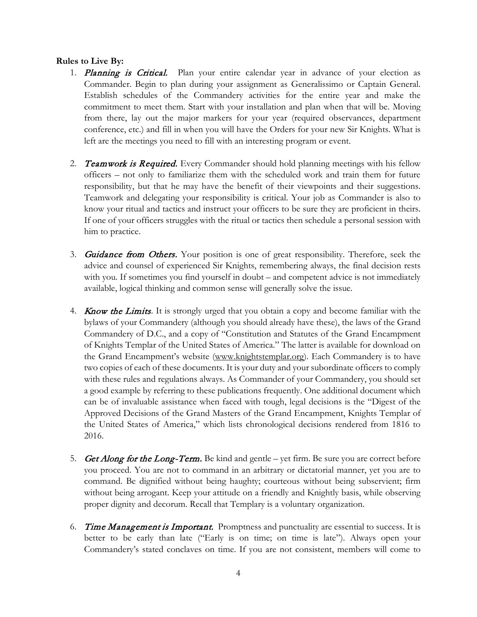### **Rules to Live By:**

- 1. Planning is Critical. Plan your entire calendar year in advance of your election as Commander. Begin to plan during your assignment as Generalissimo or Captain General. Establish schedules of the Commandery activities for the entire year and make the commitment to meet them. Start with your installation and plan when that will be. Moving from there, lay out the major markers for your year (required observances, department conference, etc.) and fill in when you will have the Orders for your new Sir Knights. What is left are the meetings you need to fill with an interesting program or event.
- 2. Teamwork is Required. Every Commander should hold planning meetings with his fellow officers – not only to familiarize them with the scheduled work and train them for future responsibility, but that he may have the benefit of their viewpoints and their suggestions. Teamwork and delegating your responsibility is critical. Your job as Commander is also to know your ritual and tactics and instruct your officers to be sure they are proficient in theirs. If one of your officers struggles with the ritual or tactics then schedule a personal session with him to practice.
- 3. Guidance from Others. Your position is one of great responsibility. Therefore, seek the advice and counsel of experienced Sir Knights, remembering always, the final decision rests with you. If sometimes you find yourself in doubt – and competent advice is not immediately available, logical thinking and common sense will generally solve the issue.
- 4. **Know the Limits**. It is strongly urged that you obtain a copy and become familiar with the bylaws of your Commandery (although you should already have these), the laws of the Grand Commandery of D.C., and a copy of "Constitution and Statutes of the Grand Encampment of Knights Templar of the United States of America." The latter is available for download on the Grand Encampment's website [\(www.knightstemplar.org\)](http://www.knightstemplar.org/). Each Commandery is to have two copies of each of these documents. It is your duty and your subordinate officers to comply with these rules and regulations always. As Commander of your Commandery, you should set a good example by referring to these publications frequently. One additional document which can be of invaluable assistance when faced with tough, legal decisions is the "Digest of the Approved Decisions of the Grand Masters of the Grand Encampment, Knights Templar of the United States of America," which lists chronological decisions rendered from 1816 to 2016.
- 5. Get Along for the Long-Term. Be kind and gentle yet firm. Be sure you are correct before you proceed. You are not to command in an arbitrary or dictatorial manner, yet you are to command. Be dignified without being haughty; courteous without being subservient; firm without being arrogant. Keep your attitude on a friendly and Knightly basis, while observing proper dignity and decorum. Recall that Templary is a voluntary organization.
- 6. Time Management is Important. Promptness and punctuality are essential to success. It is better to be early than late ("Early is on time; on time is late"). Always open your Commandery's stated conclaves on time. If you are not consistent, members will come to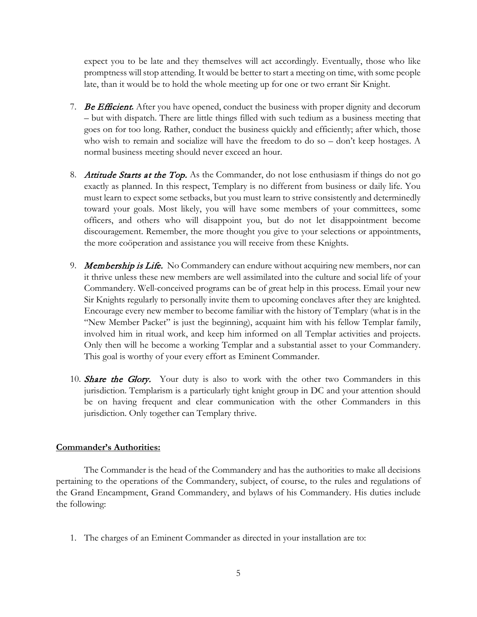expect you to be late and they themselves will act accordingly. Eventually, those who like promptness will stop attending. It would be better to start a meeting on time, with some people late, than it would be to hold the whole meeting up for one or two errant Sir Knight.

- 7. Be Efficient**.** After you have opened, conduct the business with proper dignity and decorum – but with dispatch. There are little things filled with such tedium as a business meeting that goes on for too long. Rather, conduct the business quickly and efficiently; after which, those who wish to remain and socialize will have the freedom to do so – don't keep hostages. A normal business meeting should never exceed an hour.
- 8. Attitude Starts at the Top. As the Commander, do not lose enthusiasm if things do not go exactly as planned. In this respect, Templary is no different from business or daily life. You must learn to expect some setbacks, but you must learn to strive consistently and determinedly toward your goals. Most likely, you will have some members of your committees, some officers, and others who will disappoint you, but do not let disappointment become discouragement. Remember, the more thought you give to your selections or appointments, the more coöperation and assistance you will receive from these Knights.
- 9. Membership is Life. No Commandery can endure without acquiring new members, nor can it thrive unless these new members are well assimilated into the culture and social life of your Commandery. Well-conceived programs can be of great help in this process. Email your new Sir Knights regularly to personally invite them to upcoming conclaves after they are knighted. Encourage every new member to become familiar with the history of Templary (what is in the "New Member Packet" is just the beginning), acquaint him with his fellow Templar family, involved him in ritual work, and keep him informed on all Templar activities and projects. Only then will he become a working Templar and a substantial asset to your Commandery. This goal is worthy of your every effort as Eminent Commander.
- 10. **Share the Glory.** Your duty is also to work with the other two Commanders in this jurisdiction. Templarism is a particularly tight knight group in DC and your attention should be on having frequent and clear communication with the other Commanders in this jurisdiction. Only together can Templary thrive.

#### **Commander's Authorities:**

The Commander is the head of the Commandery and has the authorities to make all decisions pertaining to the operations of the Commandery, subject, of course, to the rules and regulations of the Grand Encampment, Grand Commandery, and bylaws of his Commandery. His duties include the following:

1. The charges of an Eminent Commander as directed in your installation are to: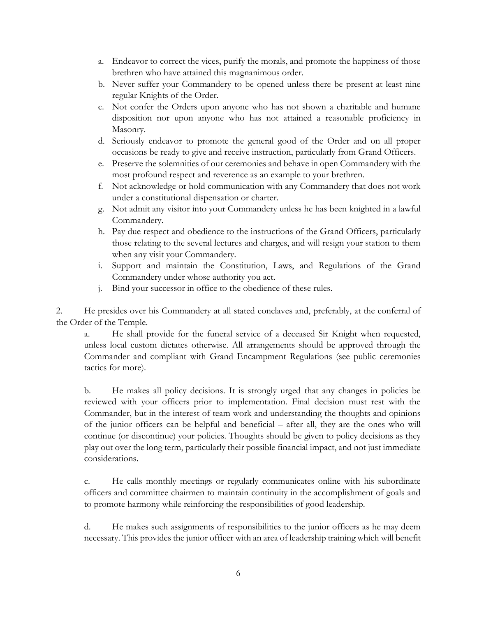- a. Endeavor to correct the vices, purify the morals, and promote the happiness of those brethren who have attained this magnanimous order.
- b. Never suffer your Commandery to be opened unless there be present at least nine regular Knights of the Order.
- c. Not confer the Orders upon anyone who has not shown a charitable and humane disposition nor upon anyone who has not attained a reasonable proficiency in Masonry.
- d. Seriously endeavor to promote the general good of the Order and on all proper occasions be ready to give and receive instruction, particularly from Grand Officers.
- e. Preserve the solemnities of our ceremonies and behave in open Commandery with the most profound respect and reverence as an example to your brethren.
- f. Not acknowledge or hold communication with any Commandery that does not work under a constitutional dispensation or charter.
- g. Not admit any visitor into your Commandery unless he has been knighted in a lawful Commandery.
- h. Pay due respect and obedience to the instructions of the Grand Officers, particularly those relating to the several lectures and charges, and will resign your station to them when any visit your Commandery.
- i. Support and maintain the Constitution, Laws, and Regulations of the Grand Commandery under whose authority you act.
- j. Bind your successor in office to the obedience of these rules.

2. He presides over his Commandery at all stated conclaves and, preferably, at the conferral of the Order of the Temple.

a. He shall provide for the funeral service of a deceased Sir Knight when requested, unless local custom dictates otherwise. All arrangements should be approved through the Commander and compliant with Grand Encampment Regulations (see public ceremonies tactics for more).

b. He makes all policy decisions. It is strongly urged that any changes in policies be reviewed with your officers prior to implementation. Final decision must rest with the Commander, but in the interest of team work and understanding the thoughts and opinions of the junior officers can be helpful and beneficial – after all, they are the ones who will continue (or discontinue) your policies. Thoughts should be given to policy decisions as they play out over the long term, particularly their possible financial impact, and not just immediate considerations.

c. He calls monthly meetings or regularly communicates online with his subordinate officers and committee chairmen to maintain continuity in the accomplishment of goals and to promote harmony while reinforcing the responsibilities of good leadership.

d. He makes such assignments of responsibilities to the junior officers as he may deem necessary. This provides the junior officer with an area of leadership training which will benefit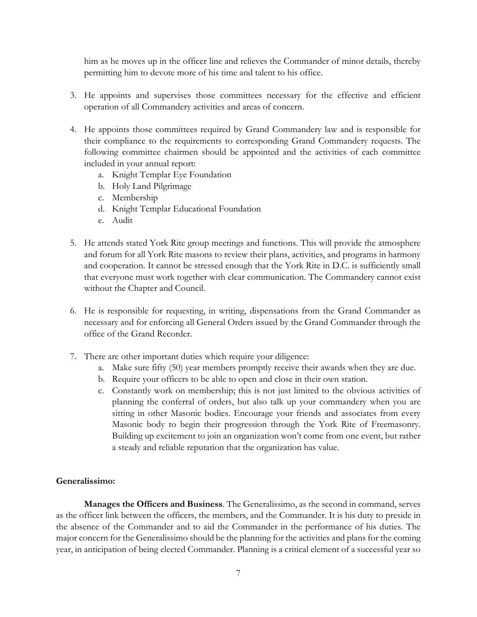him as he moves up in the officer line and relieves the Commander of minor details, thereby permitting him to devote more of his time and talent to his office.

- 3. He appoints and supervises those committees necessary for the effective and efficient operation of all Commandery activities and areas of concern.
- 4. He appoints those committees required by Grand Commandery law and is responsible for their compliance to the requirements to corresponding Grand Commandery requests. The following committee chairmen should be appointed and the activities of each committee included in your annual report:
	- a. Knight Templar Eye Foundation
	- b. Holy Land Pilgrimage
	- c. Membership
	- d. Knight Templar Educational Foundation
	- e. Audit
- 5. He attends stated York Rite group meetings and functions. This will provide the atmosphere and forum for all York Rite masons to review their plans, activities, and programs in harmony and cooperation. It cannot be stressed enough that the York Rite in D.C. is sufficiently small that everyone must work together with clear communication. The Commandery cannot exist without the Chapter and Council.
- 6. He is responsible for requesting, in writing, dispensations from the Grand Commander as necessary and for enforcing all General Orders issued by the Grand Commander through the office of the Grand Recorder.
- 7. There are other important duties which require your diligence:
	- a. Make sure fifty (50) year members promptly receive their awards when they are due.
	- b. Require your officers to be able to open and close in their own station.
	- c. Constantly work on membership; this is not just limited to the obvious activities of planning the conferral of orders, but also talk up your commandery when you are sitting in other Masonic bodies. Encourage your friends and associates from every Masonic body to begin their progression through the York Rite of Freemasonry. Building up excitement to join an organization won't come from one event, but rather a steady and reliable reputation that the organization has value.

#### <span id="page-12-0"></span>**Generalissimo:**

**Manages the Officers and Business**. The Generalissimo, as the second in command, serves as the officer link between the officers, the members, and the Commander. It is his duty to preside in the absence of the Commander and to aid the Commander in the performance of his duties. The major concern for the Generalissimo should be the planning for the activities and plans for the coming year, in anticipation of being elected Commander. Planning is a critical element of a successful year so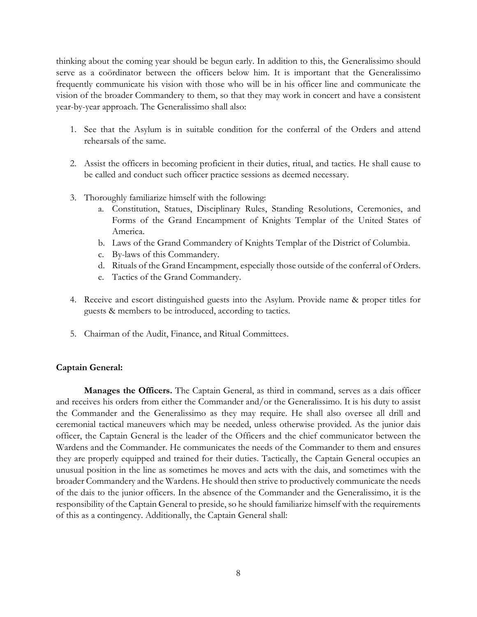thinking about the coming year should be begun early. In addition to this, the Generalissimo should serve as a coördinator between the officers below him. It is important that the Generalissimo frequently communicate his vision with those who will be in his officer line and communicate the vision of the broader Commandery to them, so that they may work in concert and have a consistent year-by-year approach. The Generalissimo shall also:

- 1. See that the Asylum is in suitable condition for the conferral of the Orders and attend rehearsals of the same.
- 2. Assist the officers in becoming proficient in their duties, ritual, and tactics. He shall cause to be called and conduct such officer practice sessions as deemed necessary.
- 3. Thoroughly familiarize himself with the following:
	- a. Constitution, Statues, Disciplinary Rules, Standing Resolutions, Ceremonies, and Forms of the Grand Encampment of Knights Templar of the United States of America.
	- b. Laws of the Grand Commandery of Knights Templar of the District of Columbia.
	- c. By-laws of this Commandery.
	- d. Rituals of the Grand Encampment, especially those outside of the conferral of Orders.
	- e. Tactics of the Grand Commandery.
- 4. Receive and escort distinguished guests into the Asylum. Provide name & proper titles for guests & members to be introduced, according to tactics.
- 5. Chairman of the Audit, Finance, and Ritual Committees.

## <span id="page-13-0"></span>**Captain General:**

**Manages the Officers.** The Captain General, as third in command, serves as a dais officer and receives his orders from either the Commander and/or the Generalissimo. It is his duty to assist the Commander and the Generalissimo as they may require. He shall also oversee all drill and ceremonial tactical maneuvers which may be needed, unless otherwise provided. As the junior dais officer, the Captain General is the leader of the Officers and the chief communicator between the Wardens and the Commander. He communicates the needs of the Commander to them and ensures they are properly equipped and trained for their duties. Tactically, the Captain General occupies an unusual position in the line as sometimes he moves and acts with the dais, and sometimes with the broader Commandery and the Wardens. He should then strive to productively communicate the needs of the dais to the junior officers. In the absence of the Commander and the Generalissimo, it is the responsibility of the Captain General to preside, so he should familiarize himself with the requirements of this as a contingency. Additionally, the Captain General shall: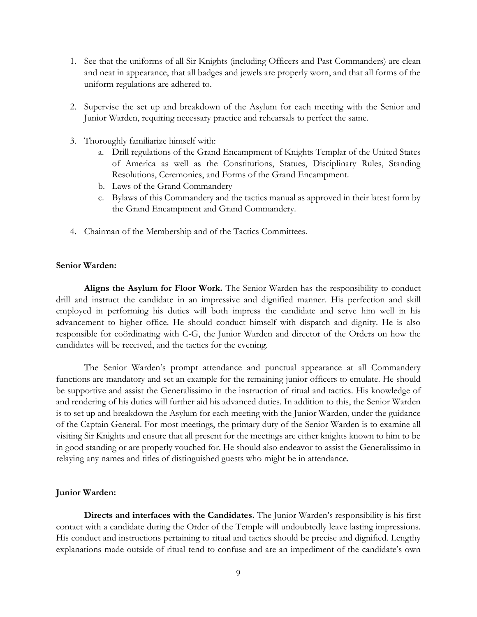- 1. See that the uniforms of all Sir Knights (including Officers and Past Commanders) are clean and neat in appearance, that all badges and jewels are properly worn, and that all forms of the uniform regulations are adhered to.
- 2. Supervise the set up and breakdown of the Asylum for each meeting with the Senior and Junior Warden, requiring necessary practice and rehearsals to perfect the same.
- 3. Thoroughly familiarize himself with:
	- a. Drill regulations of the Grand Encampment of Knights Templar of the United States of America as well as the Constitutions, Statues, Disciplinary Rules, Standing Resolutions, Ceremonies, and Forms of the Grand Encampment.
	- b. Laws of the Grand Commandery
	- c. Bylaws of this Commandery and the tactics manual as approved in their latest form by the Grand Encampment and Grand Commandery.
- 4. Chairman of the Membership and of the Tactics Committees.

#### <span id="page-14-0"></span>**Senior Warden:**

**Aligns the Asylum for Floor Work.** The Senior Warden has the responsibility to conduct drill and instruct the candidate in an impressive and dignified manner. His perfection and skill employed in performing his duties will both impress the candidate and serve him well in his advancement to higher office. He should conduct himself with dispatch and dignity. He is also responsible for coördinating with C-G, the Junior Warden and director of the Orders on how the candidates will be received, and the tactics for the evening.

The Senior Warden's prompt attendance and punctual appearance at all Commandery functions are mandatory and set an example for the remaining junior officers to emulate. He should be supportive and assist the Generalissimo in the instruction of ritual and tactics. His knowledge of and rendering of his duties will further aid his advanced duties. In addition to this, the Senior Warden is to set up and breakdown the Asylum for each meeting with the Junior Warden, under the guidance of the Captain General. For most meetings, the primary duty of the Senior Warden is to examine all visiting Sir Knights and ensure that all present for the meetings are either knights known to him to be in good standing or are properly vouched for. He should also endeavor to assist the Generalissimo in relaying any names and titles of distinguished guests who might be in attendance.

#### <span id="page-14-1"></span>**Junior Warden:**

**Directs and interfaces with the Candidates.** The Junior Warden's responsibility is his first contact with a candidate during the Order of the Temple will undoubtedly leave lasting impressions. His conduct and instructions pertaining to ritual and tactics should be precise and dignified. Lengthy explanations made outside of ritual tend to confuse and are an impediment of the candidate's own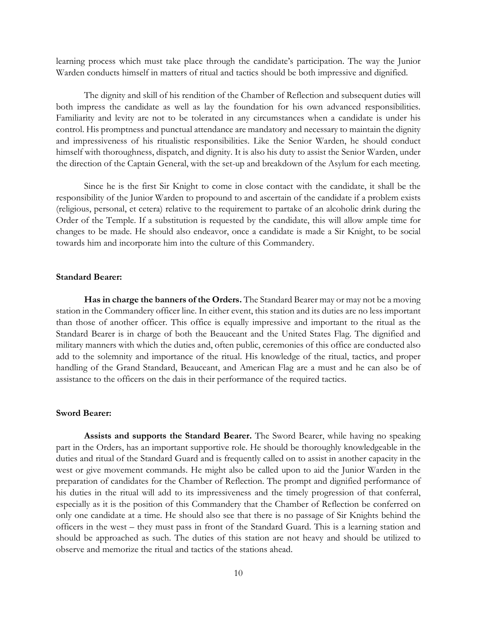learning process which must take place through the candidate's participation. The way the Junior Warden conducts himself in matters of ritual and tactics should be both impressive and dignified.

The dignity and skill of his rendition of the Chamber of Reflection and subsequent duties will both impress the candidate as well as lay the foundation for his own advanced responsibilities. Familiarity and levity are not to be tolerated in any circumstances when a candidate is under his control. His promptness and punctual attendance are mandatory and necessary to maintain the dignity and impressiveness of his ritualistic responsibilities. Like the Senior Warden, he should conduct himself with thoroughness, dispatch, and dignity. It is also his duty to assist the Senior Warden, under the direction of the Captain General, with the set-up and breakdown of the Asylum for each meeting.

Since he is the first Sir Knight to come in close contact with the candidate, it shall be the responsibility of the Junior Warden to propound to and ascertain of the candidate if a problem exists (religious, personal, et cetera) relative to the requirement to partake of an alcoholic drink during the Order of the Temple. If a substitution is requested by the candidate, this will allow ample time for changes to be made. He should also endeavor, once a candidate is made a Sir Knight, to be social towards him and incorporate him into the culture of this Commandery.

#### <span id="page-15-0"></span>**Standard Bearer:**

**Has in charge the banners of the Orders.** The Standard Bearer may or may not be a moving station in the Commandery officer line. In either event, this station and its duties are no less important than those of another officer. This office is equally impressive and important to the ritual as the Standard Bearer is in charge of both the Beauceant and the United States Flag. The dignified and military manners with which the duties and, often public, ceremonies of this office are conducted also add to the solemnity and importance of the ritual. His knowledge of the ritual, tactics, and proper handling of the Grand Standard, Beauceant, and American Flag are a must and he can also be of assistance to the officers on the dais in their performance of the required tactics.

#### <span id="page-15-1"></span>**Sword Bearer:**

**Assists and supports the Standard Bearer.** The Sword Bearer, while having no speaking part in the Orders, has an important supportive role. He should be thoroughly knowledgeable in the duties and ritual of the Standard Guard and is frequently called on to assist in another capacity in the west or give movement commands. He might also be called upon to aid the Junior Warden in the preparation of candidates for the Chamber of Reflection. The prompt and dignified performance of his duties in the ritual will add to its impressiveness and the timely progression of that conferral, especially as it is the position of this Commandery that the Chamber of Reflection be conferred on only one candidate at a time. He should also see that there is no passage of Sir Knights behind the officers in the west – they must pass in front of the Standard Guard. This is a learning station and should be approached as such. The duties of this station are not heavy and should be utilized to observe and memorize the ritual and tactics of the stations ahead.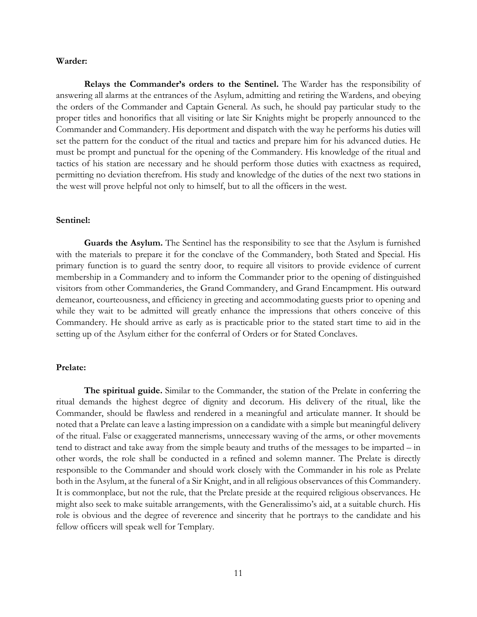#### <span id="page-16-0"></span>**Warder:**

**Relays the Commander's orders to the Sentinel.** The Warder has the responsibility of answering all alarms at the entrances of the Asylum, admitting and retiring the Wardens, and obeying the orders of the Commander and Captain General. As such, he should pay particular study to the proper titles and honorifics that all visiting or late Sir Knights might be properly announced to the Commander and Commandery. His deportment and dispatch with the way he performs his duties will set the pattern for the conduct of the ritual and tactics and prepare him for his advanced duties. He must be prompt and punctual for the opening of the Commandery. His knowledge of the ritual and tactics of his station are necessary and he should perform those duties with exactness as required, permitting no deviation therefrom. His study and knowledge of the duties of the next two stations in the west will prove helpful not only to himself, but to all the officers in the west.

#### <span id="page-16-1"></span>**Sentinel:**

**Guards the Asylum.** The Sentinel has the responsibility to see that the Asylum is furnished with the materials to prepare it for the conclave of the Commandery, both Stated and Special. His primary function is to guard the sentry door, to require all visitors to provide evidence of current membership in a Commandery and to inform the Commander prior to the opening of distinguished visitors from other Commanderies, the Grand Commandery, and Grand Encampment. His outward demeanor, courteousness, and efficiency in greeting and accommodating guests prior to opening and while they wait to be admitted will greatly enhance the impressions that others conceive of this Commandery. He should arrive as early as is practicable prior to the stated start time to aid in the setting up of the Asylum either for the conferral of Orders or for Stated Conclaves.

#### <span id="page-16-2"></span>**Prelate:**

**The spiritual guide.** Similar to the Commander, the station of the Prelate in conferring the ritual demands the highest degree of dignity and decorum. His delivery of the ritual, like the Commander, should be flawless and rendered in a meaningful and articulate manner. It should be noted that a Prelate can leave a lasting impression on a candidate with a simple but meaningful delivery of the ritual. False or exaggerated mannerisms, unnecessary waving of the arms, or other movements tend to distract and take away from the simple beauty and truths of the messages to be imparted – in other words, the role shall be conducted in a refined and solemn manner. The Prelate is directly responsible to the Commander and should work closely with the Commander in his role as Prelate both in the Asylum, at the funeral of a Sir Knight, and in all religious observances of this Commandery. It is commonplace, but not the rule, that the Prelate preside at the required religious observances. He might also seek to make suitable arrangements, with the Generalissimo's aid, at a suitable church. His role is obvious and the degree of reverence and sincerity that he portrays to the candidate and his fellow officers will speak well for Templary.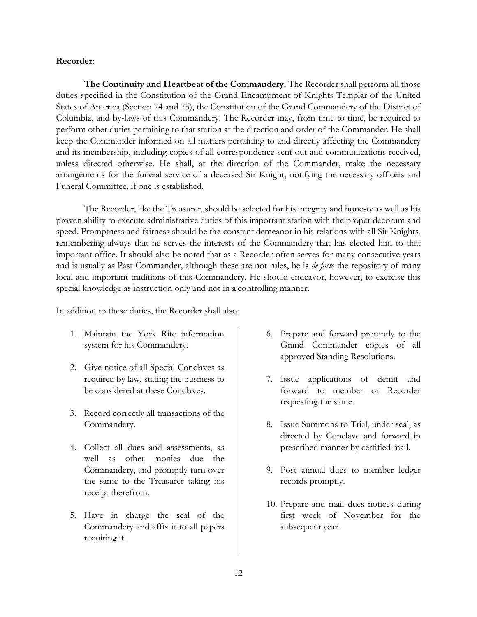#### <span id="page-17-0"></span>**Recorder:**

**The Continuity and Heartbeat of the Commandery.** The Recorder shall perform all those duties specified in the Constitution of the Grand Encampment of Knights Templar of the United States of America (Section 74 and 75), the Constitution of the Grand Commandery of the District of Columbia, and by-laws of this Commandery. The Recorder may, from time to time, be required to perform other duties pertaining to that station at the direction and order of the Commander. He shall keep the Commander informed on all matters pertaining to and directly affecting the Commandery and its membership, including copies of all correspondence sent out and communications received, unless directed otherwise. He shall, at the direction of the Commander, make the necessary arrangements for the funeral service of a deceased Sir Knight, notifying the necessary officers and Funeral Committee, if one is established.

The Recorder, like the Treasurer, should be selected for his integrity and honesty as well as his proven ability to execute administrative duties of this important station with the proper decorum and speed. Promptness and fairness should be the constant demeanor in his relations with all Sir Knights, remembering always that he serves the interests of the Commandery that has elected him to that important office. It should also be noted that as a Recorder often serves for many consecutive years and is usually as Past Commander, although these are not rules, he is *de facto* the repository of many local and important traditions of this Commandery. He should endeavor, however, to exercise this special knowledge as instruction only and not in a controlling manner.

In addition to these duties, the Recorder shall also:

- 1. Maintain the York Rite information system for his Commandery.
- 2. Give notice of all Special Conclaves as required by law, stating the business to be considered at these Conclaves.
- 3. Record correctly all transactions of the Commandery.
- 4. Collect all dues and assessments, as well as other monies due the Commandery, and promptly turn over the same to the Treasurer taking his receipt therefrom.
- 5. Have in charge the seal of the Commandery and affix it to all papers requiring it.
- 6. Prepare and forward promptly to the Grand Commander copies of all approved Standing Resolutions.
- 7. Issue applications of demit and forward to member or Recorder requesting the same.
- 8. Issue Summons to Trial, under seal, as directed by Conclave and forward in prescribed manner by certified mail.
- 9. Post annual dues to member ledger records promptly.
- 10. Prepare and mail dues notices during first week of November for the subsequent year.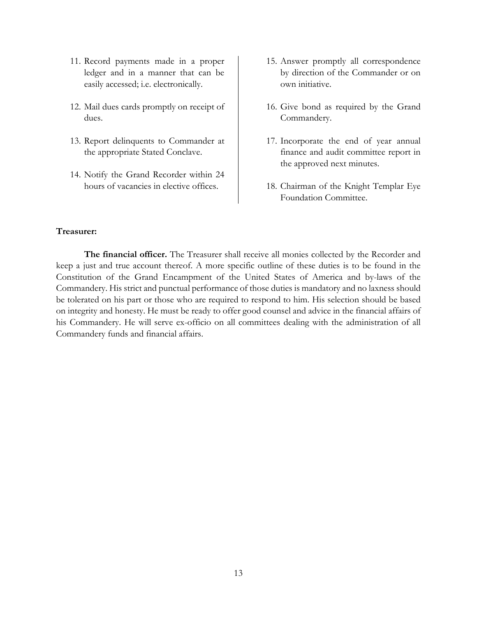- 11. Record payments made in a proper ledger and in a manner that can be easily accessed; i.e. electronically.
- 12. Mail dues cards promptly on receipt of dues.
- 13. Report delinquents to Commander at the appropriate Stated Conclave.
- 14. Notify the Grand Recorder within 24 hours of vacancies in elective offices.
- 15. Answer promptly all correspondence by direction of the Commander or on own initiative.
- 16. Give bond as required by the Grand Commandery.
- 17. Incorporate the end of year annual finance and audit committee report in the approved next minutes.
- 18. Chairman of the Knight Templar Eye Foundation Committee.

#### <span id="page-18-0"></span>**Treasurer:**

**The financial officer.** The Treasurer shall receive all monies collected by the Recorder and keep a just and true account thereof. A more specific outline of these duties is to be found in the Constitution of the Grand Encampment of the United States of America and by-laws of the Commandery. His strict and punctual performance of those duties is mandatory and no laxness should be tolerated on his part or those who are required to respond to him. His selection should be based on integrity and honesty. He must be ready to offer good counsel and advice in the financial affairs of his Commandery. He will serve ex-officio on all committees dealing with the administration of all Commandery funds and financial affairs.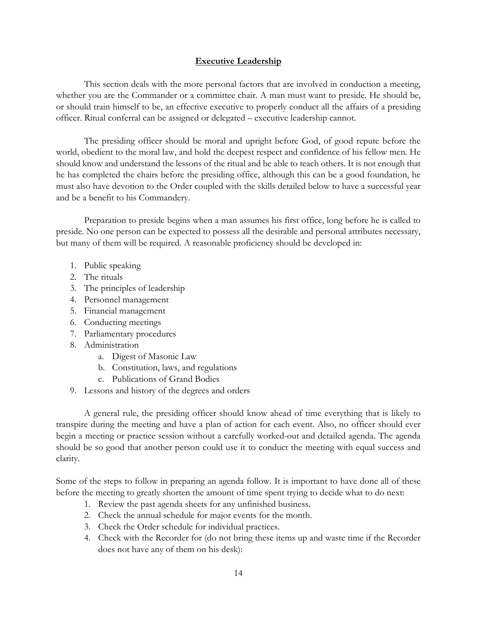## **Executive Leadership**

<span id="page-19-0"></span>This section deals with the more personal factors that are involved in conduction a meeting, whether you are the Commander or a committee chair. A man must want to preside. He should be, or should train himself to be, an effective executive to properly conduct all the affairs of a presiding officer. Ritual conferral can be assigned or delegated – executive leadership cannot.

The presiding officer should be moral and upright before God, of good repute before the world, obedient to the moral law, and hold the deepest respect and confidence of his fellow men. He should know and understand the lessons of the ritual and be able to teach others. It is not enough that he has completed the chairs before the presiding office, although this can be a good foundation, he must also have devotion to the Order coupled with the skills detailed below to have a successful year and be a benefit to his Commandery.

Preparation to preside begins when a man assumes his first office, long before he is called to preside. No one person can be expected to possess all the desirable and personal attributes necessary, but many of them will be required. A reasonable proficiency should be developed in:

- 1. Public speaking
- 2. The rituals
- 3. The principles of leadership
- 4. Personnel management
- 5. Financial management
- 6. Conducting meetings
- 7. Parliamentary procedures
- 8. Administration
	- a. Digest of Masonic Law
	- b. Constitution, laws, and regulations
	- c. Publications of Grand Bodies
- 9. Lessons and history of the degrees and orders

A general rule, the presiding officer should know ahead of time everything that is likely to transpire during the meeting and have a plan of action for each event. Also, no officer should ever begin a meeting or practice session without a carefully worked-out and detailed agenda. The agenda should be so good that another person could use it to conduct the meeting with equal success and clarity.

Some of the steps to follow in preparing an agenda follow. It is important to have done all of these before the meeting to greatly shorten the amount of time spent trying to decide what to do next:

- 1. Review the past agenda sheets for any unfinished business.
- 2. Check the annual schedule for major events for the month.
- 3. Check the Order schedule for individual practices.
- 4. Check with the Recorder for (do not bring these items up and waste time if the Recorder does not have any of them on his desk):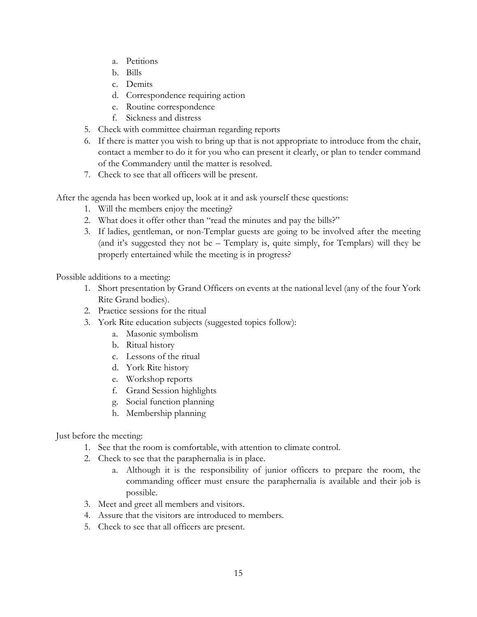- a. Petitions
- b. Bills
- c. Demits
- d. Correspondence requiring action
- e. Routine correspondence
- f. Sickness and distress
- 5. Check with committee chairman regarding reports
- 6. If there is matter you wish to bring up that is not appropriate to introduce from the chair, contact a member to do it for you who can present it clearly, or plan to tender command of the Commandery until the matter is resolved.
- 7. Check to see that all officers will be present.

After the agenda has been worked up, look at it and ask yourself these questions:

- 1. Will the members enjoy the meeting?
- 2. What does it offer other than "read the minutes and pay the bills?"
- 3. If ladies, gentleman, or non-Templar guests are going to be involved after the meeting (and it's suggested they not be – Templary is, quite simply, for Templars) will they be properly entertained while the meeting is in progress?

Possible additions to a meeting:

- 1. Short presentation by Grand Officers on events at the national level (any of the four York Rite Grand bodies).
- 2. Practice sessions for the ritual
- 3. York Rite education subjects (suggested topics follow):
	- a. Masonic symbolism
	- b. Ritual history
	- c. Lessons of the ritual
	- d. York Rite history
	- e. Workshop reports
	- f. Grand Session highlights
	- g. Social function planning
	- h. Membership planning

Just before the meeting:

- 1. See that the room is comfortable, with attention to climate control.
- 2. Check to see that the paraphernalia is in place.
	- a. Although it is the responsibility of junior officers to prepare the room, the commanding officer must ensure the paraphernalia is available and their job is possible.
- 3. Meet and greet all members and visitors.
- 4. Assure that the visitors are introduced to members.
- 5. Check to see that all officers are present.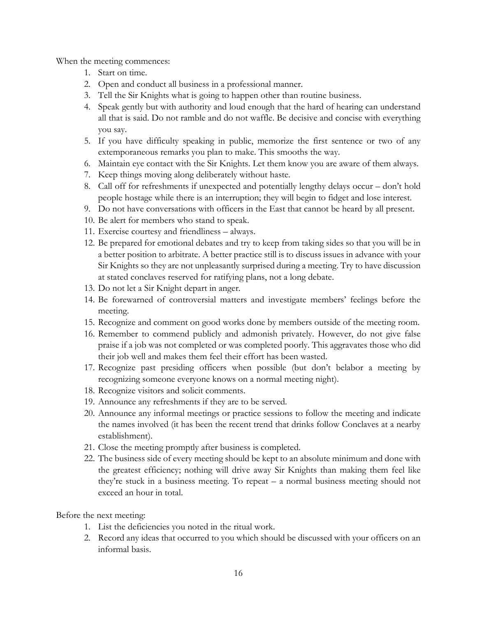When the meeting commences:

- 1. Start on time.
- 2. Open and conduct all business in a professional manner.
- 3. Tell the Sir Knights what is going to happen other than routine business.
- 4. Speak gently but with authority and loud enough that the hard of hearing can understand all that is said. Do not ramble and do not waffle. Be decisive and concise with everything you say.
- 5. If you have difficulty speaking in public, memorize the first sentence or two of any extemporaneous remarks you plan to make. This smooths the way.
- 6. Maintain eye contact with the Sir Knights. Let them know you are aware of them always.
- 7. Keep things moving along deliberately without haste.
- 8. Call off for refreshments if unexpected and potentially lengthy delays occur don't hold people hostage while there is an interruption; they will begin to fidget and lose interest.
- 9. Do not have conversations with officers in the East that cannot be heard by all present.
- 10. Be alert for members who stand to speak.
- 11. Exercise courtesy and friendliness always.
- 12. Be prepared for emotional debates and try to keep from taking sides so that you will be in a better position to arbitrate. A better practice still is to discuss issues in advance with your Sir Knights so they are not unpleasantly surprised during a meeting. Try to have discussion at stated conclaves reserved for ratifying plans, not a long debate.
- 13. Do not let a Sir Knight depart in anger.
- 14. Be forewarned of controversial matters and investigate members' feelings before the meeting.
- 15. Recognize and comment on good works done by members outside of the meeting room.
- 16. Remember to commend publicly and admonish privately. However, do not give false praise if a job was not completed or was completed poorly. This aggravates those who did their job well and makes them feel their effort has been wasted.
- 17. Recognize past presiding officers when possible (but don't belabor a meeting by recognizing someone everyone knows on a normal meeting night).
- 18. Recognize visitors and solicit comments.
- 19. Announce any refreshments if they are to be served.
- 20. Announce any informal meetings or practice sessions to follow the meeting and indicate the names involved (it has been the recent trend that drinks follow Conclaves at a nearby establishment).
- 21. Close the meeting promptly after business is completed.
- 22. The business side of every meeting should be kept to an absolute minimum and done with the greatest efficiency; nothing will drive away Sir Knights than making them feel like they're stuck in a business meeting. To repeat – a normal business meeting should not exceed an hour in total.

Before the next meeting:

- 1. List the deficiencies you noted in the ritual work.
- 2. Record any ideas that occurred to you which should be discussed with your officers on an informal basis.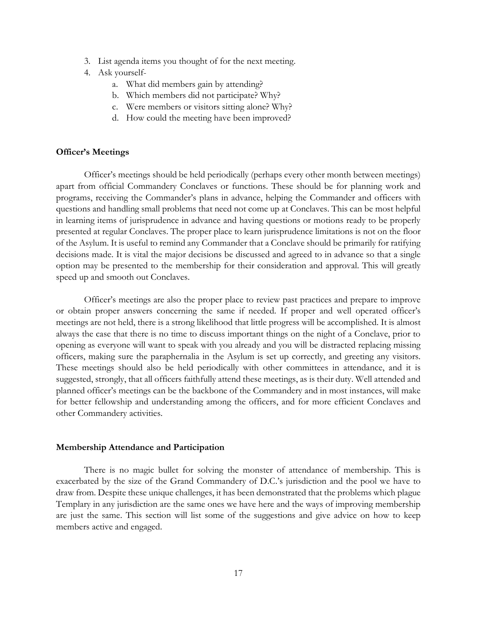- 3. List agenda items you thought of for the next meeting.
- 4. Ask yourself
	- a. What did members gain by attending?
	- b. Which members did not participate? Why?
	- c. Were members or visitors sitting alone? Why?
	- d. How could the meeting have been improved?

#### <span id="page-22-0"></span>**Officer's Meetings**

Officer's meetings should be held periodically (perhaps every other month between meetings) apart from official Commandery Conclaves or functions. These should be for planning work and programs, receiving the Commander's plans in advance, helping the Commander and officers with questions and handling small problems that need not come up at Conclaves. This can be most helpful in learning items of jurisprudence in advance and having questions or motions ready to be properly presented at regular Conclaves. The proper place to learn jurisprudence limitations is not on the floor of the Asylum. It is useful to remind any Commander that a Conclave should be primarily for ratifying decisions made. It is vital the major decisions be discussed and agreed to in advance so that a single option may be presented to the membership for their consideration and approval. This will greatly speed up and smooth out Conclaves.

Officer's meetings are also the proper place to review past practices and prepare to improve or obtain proper answers concerning the same if needed. If proper and well operated officer's meetings are not held, there is a strong likelihood that little progress will be accomplished. It is almost always the case that there is no time to discuss important things on the night of a Conclave, prior to opening as everyone will want to speak with you already and you will be distracted replacing missing officers, making sure the paraphernalia in the Asylum is set up correctly, and greeting any visitors. These meetings should also be held periodically with other committees in attendance, and it is suggested, strongly, that all officers faithfully attend these meetings, as is their duty. Well attended and planned officer's meetings can be the backbone of the Commandery and in most instances, will make for better fellowship and understanding among the officers, and for more efficient Conclaves and other Commandery activities.

#### <span id="page-22-1"></span>**Membership Attendance and Participation**

There is no magic bullet for solving the monster of attendance of membership. This is exacerbated by the size of the Grand Commandery of D.C.'s jurisdiction and the pool we have to draw from. Despite these unique challenges, it has been demonstrated that the problems which plague Templary in any jurisdiction are the same ones we have here and the ways of improving membership are just the same. This section will list some of the suggestions and give advice on how to keep members active and engaged.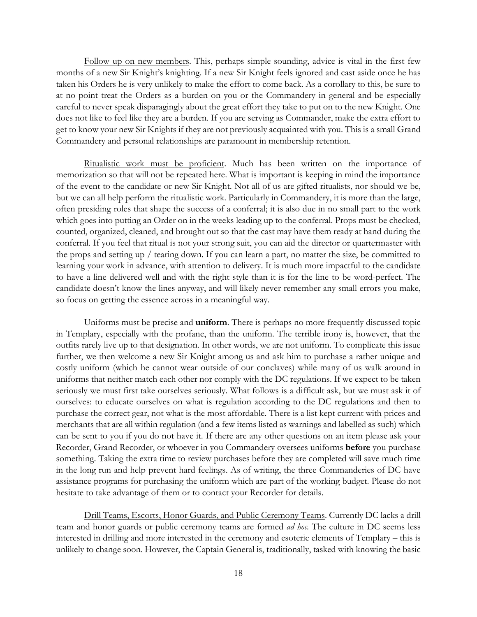Follow up on new members. This, perhaps simple sounding, advice is vital in the first few months of a new Sir Knight's knighting. If a new Sir Knight feels ignored and cast aside once he has taken his Orders he is very unlikely to make the effort to come back. As a corollary to this, be sure to at no point treat the Orders as a burden on you or the Commandery in general and be especially careful to never speak disparagingly about the great effort they take to put on to the new Knight. One does not like to feel like they are a burden. If you are serving as Commander, make the extra effort to get to know your new Sir Knights if they are not previously acquainted with you. This is a small Grand Commandery and personal relationships are paramount in membership retention.

Ritualistic work must be proficient. Much has been written on the importance of memorization so that will not be repeated here. What is important is keeping in mind the importance of the event to the candidate or new Sir Knight. Not all of us are gifted ritualists, nor should we be, but we can all help perform the ritualistic work. Particularly in Commandery, it is more than the large, often presiding roles that shape the success of a conferral; it is also due in no small part to the work which goes into putting an Order on in the weeks leading up to the conferral. Props must be checked, counted, organized, cleaned, and brought out so that the cast may have them ready at hand during the conferral. If you feel that ritual is not your strong suit, you can aid the director or quartermaster with the props and setting up / tearing down. If you can learn a part, no matter the size, be committed to learning your work in advance, with attention to delivery. It is much more impactful to the candidate to have a line delivered well and with the right style than it is for the line to be word-perfect. The candidate doesn't know the lines anyway, and will likely never remember any small errors you make, so focus on getting the essence across in a meaningful way.

Uniforms must be precise and **uniform**. There is perhaps no more frequently discussed topic in Templary, especially with the profane, than the uniform. The terrible irony is, however, that the outfits rarely live up to that designation. In other words, we are not uniform. To complicate this issue further, we then welcome a new Sir Knight among us and ask him to purchase a rather unique and costly uniform (which he cannot wear outside of our conclaves) while many of us walk around in uniforms that neither match each other nor comply with the DC regulations. If we expect to be taken seriously we must first take ourselves seriously. What follows is a difficult ask, but we must ask it of ourselves: to educate ourselves on what is regulation according to the DC regulations and then to purchase the correct gear, not what is the most affordable. There is a list kept current with prices and merchants that are all within regulation (and a few items listed as warnings and labelled as such) which can be sent to you if you do not have it. If there are any other questions on an item please ask your Recorder, Grand Recorder, or whoever in you Commandery oversees uniforms **before** you purchase something. Taking the extra time to review purchases before they are completed will save much time in the long run and help prevent hard feelings. As of writing, the three Commanderies of DC have assistance programs for purchasing the uniform which are part of the working budget. Please do not hesitate to take advantage of them or to contact your Recorder for details.

Drill Teams, Escorts, Honor Guards, and Public Ceremony Teams. Currently DC lacks a drill team and honor guards or public ceremony teams are formed *ad hoc*. The culture in DC seems less interested in drilling and more interested in the ceremony and esoteric elements of Templary – this is unlikely to change soon. However, the Captain General is, traditionally, tasked with knowing the basic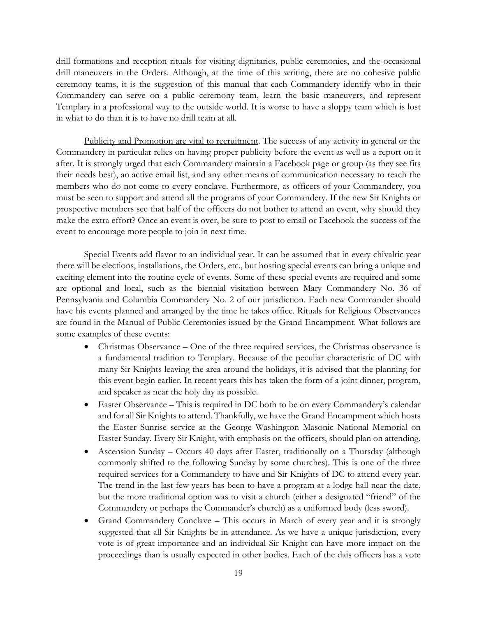drill formations and reception rituals for visiting dignitaries, public ceremonies, and the occasional drill maneuvers in the Orders. Although, at the time of this writing, there are no cohesive public ceremony teams, it is the suggestion of this manual that each Commandery identify who in their Commandery can serve on a public ceremony team, learn the basic maneuvers, and represent Templary in a professional way to the outside world. It is worse to have a sloppy team which is lost in what to do than it is to have no drill team at all.

Publicity and Promotion are vital to recruitment. The success of any activity in general or the Commandery in particular relies on having proper publicity before the event as well as a report on it after. It is strongly urged that each Commandery maintain a Facebook page or group (as they see fits their needs best), an active email list, and any other means of communication necessary to reach the members who do not come to every conclave. Furthermore, as officers of your Commandery, you must be seen to support and attend all the programs of your Commandery. If the new Sir Knights or prospective members see that half of the officers do not bother to attend an event, why should they make the extra effort? Once an event is over, be sure to post to email or Facebook the success of the event to encourage more people to join in next time.

Special Events add flavor to an individual year. It can be assumed that in every chivalric year there will be elections, installations, the Orders, etc., but hosting special events can bring a unique and exciting element into the routine cycle of events. Some of these special events are required and some are optional and local, such as the biennial visitation between Mary Commandery No. 36 of Pennsylvania and Columbia Commandery No. 2 of our jurisdiction. Each new Commander should have his events planned and arranged by the time he takes office. Rituals for Religious Observances are found in the Manual of Public Ceremonies issued by the Grand Encampment. What follows are some examples of these events:

- Christmas Observance One of the three required services, the Christmas observance is a fundamental tradition to Templary. Because of the peculiar characteristic of DC with many Sir Knights leaving the area around the holidays, it is advised that the planning for this event begin earlier. In recent years this has taken the form of a joint dinner, program, and speaker as near the holy day as possible.
- Easter Observance This is required in DC both to be on every Commandery's calendar and for all Sir Knights to attend. Thankfully, we have the Grand Encampment which hosts the Easter Sunrise service at the George Washington Masonic National Memorial on Easter Sunday. Every Sir Knight, with emphasis on the officers, should plan on attending.
- Ascension Sunday Occurs 40 days after Easter, traditionally on a Thursday (although commonly shifted to the following Sunday by some churches). This is one of the three required services for a Commandery to have and Sir Knights of DC to attend every year. The trend in the last few years has been to have a program at a lodge hall near the date, but the more traditional option was to visit a church (either a designated "friend" of the Commandery or perhaps the Commander's church) as a uniformed body (less sword).
- Grand Commandery Conclave This occurs in March of every year and it is strongly suggested that all Sir Knights be in attendance. As we have a unique jurisdiction, every vote is of great importance and an individual Sir Knight can have more impact on the proceedings than is usually expected in other bodies. Each of the dais officers has a vote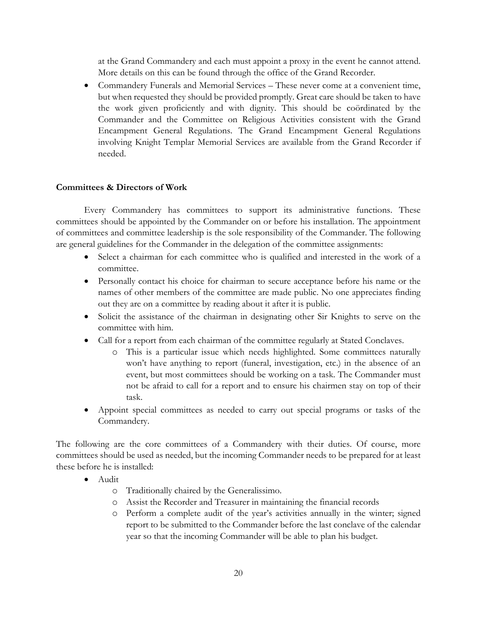at the Grand Commandery and each must appoint a proxy in the event he cannot attend. More details on this can be found through the office of the Grand Recorder.

• Commandery Funerals and Memorial Services – These never come at a convenient time, but when requested they should be provided promptly. Great care should be taken to have the work given proficiently and with dignity. This should be coördinated by the Commander and the Committee on Religious Activities consistent with the Grand Encampment General Regulations. The Grand Encampment General Regulations involving Knight Templar Memorial Services are available from the Grand Recorder if needed.

## <span id="page-25-0"></span>**Committees & Directors of Work**

Every Commandery has committees to support its administrative functions. These committees should be appointed by the Commander on or before his installation. The appointment of committees and committee leadership is the sole responsibility of the Commander. The following are general guidelines for the Commander in the delegation of the committee assignments:

- Select a chairman for each committee who is qualified and interested in the work of a committee.
- Personally contact his choice for chairman to secure acceptance before his name or the names of other members of the committee are made public. No one appreciates finding out they are on a committee by reading about it after it is public.
- Solicit the assistance of the chairman in designating other Sir Knights to serve on the committee with him.
- Call for a report from each chairman of the committee regularly at Stated Conclaves.
	- o This is a particular issue which needs highlighted. Some committees naturally won't have anything to report (funeral, investigation, etc.) in the absence of an event, but most committees should be working on a task. The Commander must not be afraid to call for a report and to ensure his chairmen stay on top of their task.
- Appoint special committees as needed to carry out special programs or tasks of the Commandery.

The following are the core committees of a Commandery with their duties. Of course, more committees should be used as needed, but the incoming Commander needs to be prepared for at least these before he is installed:

- Audit
	- o Traditionally chaired by the Generalissimo.
	- o Assist the Recorder and Treasurer in maintaining the financial records
	- o Perform a complete audit of the year's activities annually in the winter; signed report to be submitted to the Commander before the last conclave of the calendar year so that the incoming Commander will be able to plan his budget.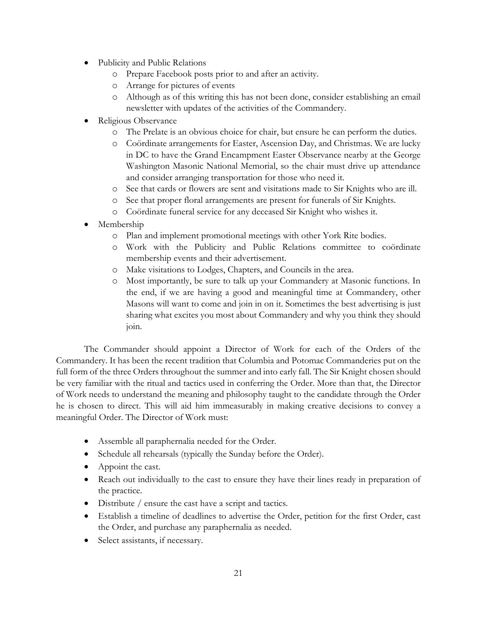- Publicity and Public Relations
	- o Prepare Facebook posts prior to and after an activity.
	- o Arrange for pictures of events
	- o Although as of this writing this has not been done, consider establishing an email newsletter with updates of the activities of the Commandery.
- Religious Observance
	- o The Prelate is an obvious choice for chair, but ensure he can perform the duties.
	- o Coördinate arrangements for Easter, Ascension Day, and Christmas. We are lucky in DC to have the Grand Encampment Easter Observance nearby at the George Washington Masonic National Memorial, so the chair must drive up attendance and consider arranging transportation for those who need it.
	- o See that cards or flowers are sent and visitations made to Sir Knights who are ill.
	- o See that proper floral arrangements are present for funerals of Sir Knights.
	- o Coördinate funeral service for any deceased Sir Knight who wishes it.
- Membership
	- o Plan and implement promotional meetings with other York Rite bodies.
	- o Work with the Publicity and Public Relations committee to coördinate membership events and their advertisement.
	- o Make visitations to Lodges, Chapters, and Councils in the area.
	- o Most importantly, be sure to talk up your Commandery at Masonic functions. In the end, if we are having a good and meaningful time at Commandery, other Masons will want to come and join in on it. Sometimes the best advertising is just sharing what excites you most about Commandery and why you think they should join.

The Commander should appoint a Director of Work for each of the Orders of the Commandery. It has been the recent tradition that Columbia and Potomac Commanderies put on the full form of the three Orders throughout the summer and into early fall. The Sir Knight chosen should be very familiar with the ritual and tactics used in conferring the Order. More than that, the Director of Work needs to understand the meaning and philosophy taught to the candidate through the Order he is chosen to direct. This will aid him immeasurably in making creative decisions to convey a meaningful Order. The Director of Work must:

- Assemble all paraphernalia needed for the Order.
- Schedule all rehearsals (typically the Sunday before the Order).
- Appoint the cast.
- Reach out individually to the cast to ensure they have their lines ready in preparation of the practice.
- Distribute / ensure the cast have a script and tactics.
- Establish a timeline of deadlines to advertise the Order, petition for the first Order, cast the Order, and purchase any paraphernalia as needed.
- Select assistants, if necessary.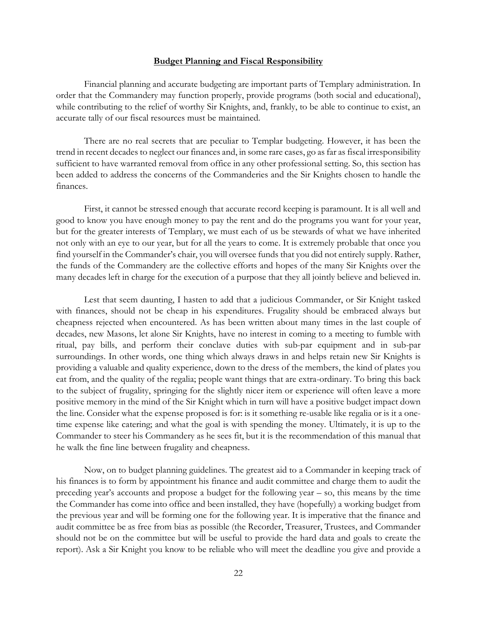#### **Budget Planning and Fiscal Responsibility**

<span id="page-27-0"></span>Financial planning and accurate budgeting are important parts of Templary administration. In order that the Commandery may function properly, provide programs (both social and educational), while contributing to the relief of worthy Sir Knights, and, frankly, to be able to continue to exist, an accurate tally of our fiscal resources must be maintained.

There are no real secrets that are peculiar to Templar budgeting. However, it has been the trend in recent decades to neglect our finances and, in some rare cases, go as far as fiscal irresponsibility sufficient to have warranted removal from office in any other professional setting. So, this section has been added to address the concerns of the Commanderies and the Sir Knights chosen to handle the finances.

First, it cannot be stressed enough that accurate record keeping is paramount. It is all well and good to know you have enough money to pay the rent and do the programs you want for your year, but for the greater interests of Templary, we must each of us be stewards of what we have inherited not only with an eye to our year, but for all the years to come. It is extremely probable that once you find yourself in the Commander's chair, you will oversee funds that you did not entirely supply. Rather, the funds of the Commandery are the collective efforts and hopes of the many Sir Knights over the many decades left in charge for the execution of a purpose that they all jointly believe and believed in.

Lest that seem daunting, I hasten to add that a judicious Commander, or Sir Knight tasked with finances, should not be cheap in his expenditures. Frugality should be embraced always but cheapness rejected when encountered. As has been written about many times in the last couple of decades, new Masons, let alone Sir Knights, have no interest in coming to a meeting to fumble with ritual, pay bills, and perform their conclave duties with sub-par equipment and in sub-par surroundings. In other words, one thing which always draws in and helps retain new Sir Knights is providing a valuable and quality experience, down to the dress of the members, the kind of plates you eat from, and the quality of the regalia; people want things that are extra-ordinary. To bring this back to the subject of frugality, springing for the slightly nicer item or experience will often leave a more positive memory in the mind of the Sir Knight which in turn will have a positive budget impact down the line. Consider what the expense proposed is for: is it something re-usable like regalia or is it a onetime expense like catering; and what the goal is with spending the money. Ultimately, it is up to the Commander to steer his Commandery as he sees fit, but it is the recommendation of this manual that he walk the fine line between frugality and cheapness.

Now, on to budget planning guidelines. The greatest aid to a Commander in keeping track of his finances is to form by appointment his finance and audit committee and charge them to audit the preceding year's accounts and propose a budget for the following year – so, this means by the time the Commander has come into office and been installed, they have (hopefully) a working budget from the previous year and will be forming one for the following year. It is imperative that the finance and audit committee be as free from bias as possible (the Recorder, Treasurer, Trustees, and Commander should not be on the committee but will be useful to provide the hard data and goals to create the report). Ask a Sir Knight you know to be reliable who will meet the deadline you give and provide a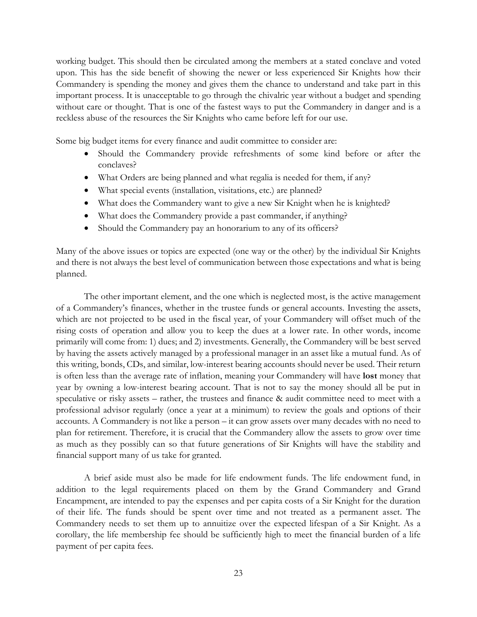working budget. This should then be circulated among the members at a stated conclave and voted upon. This has the side benefit of showing the newer or less experienced Sir Knights how their Commandery is spending the money and gives them the chance to understand and take part in this important process. It is unacceptable to go through the chivalric year without a budget and spending without care or thought. That is one of the fastest ways to put the Commandery in danger and is a reckless abuse of the resources the Sir Knights who came before left for our use.

Some big budget items for every finance and audit committee to consider are:

- Should the Commandery provide refreshments of some kind before or after the conclaves?
- What Orders are being planned and what regalia is needed for them, if any?
- What special events (installation, visitations, etc.) are planned?
- What does the Commandery want to give a new Sir Knight when he is knighted?
- What does the Commandery provide a past commander, if anything?
- Should the Commandery pay an honorarium to any of its officers?

Many of the above issues or topics are expected (one way or the other) by the individual Sir Knights and there is not always the best level of communication between those expectations and what is being planned.

The other important element, and the one which is neglected most, is the active management of a Commandery's finances, whether in the trustee funds or general accounts. Investing the assets, which are not projected to be used in the fiscal year, of your Commandery will offset much of the rising costs of operation and allow you to keep the dues at a lower rate. In other words, income primarily will come from: 1) dues; and 2) investments. Generally, the Commandery will be best served by having the assets actively managed by a professional manager in an asset like a mutual fund. As of this writing, bonds, CDs, and similar, low-interest bearing accounts should never be used. Their return is often less than the average rate of inflation, meaning your Commandery will have **lost** money that year by owning a low-interest bearing account. That is not to say the money should all be put in speculative or risky assets – rather, the trustees and finance & audit committee need to meet with a professional advisor regularly (once a year at a minimum) to review the goals and options of their accounts. A Commandery is not like a person – it can grow assets over many decades with no need to plan for retirement. Therefore, it is crucial that the Commandery allow the assets to grow over time as much as they possibly can so that future generations of Sir Knights will have the stability and financial support many of us take for granted.

A brief aside must also be made for life endowment funds. The life endowment fund, in addition to the legal requirements placed on them by the Grand Commandery and Grand Encampment, are intended to pay the expenses and per capita costs of a Sir Knight for the duration of their life. The funds should be spent over time and not treated as a permanent asset. The Commandery needs to set them up to annuitize over the expected lifespan of a Sir Knight. As a corollary, the life membership fee should be sufficiently high to meet the financial burden of a life payment of per capita fees.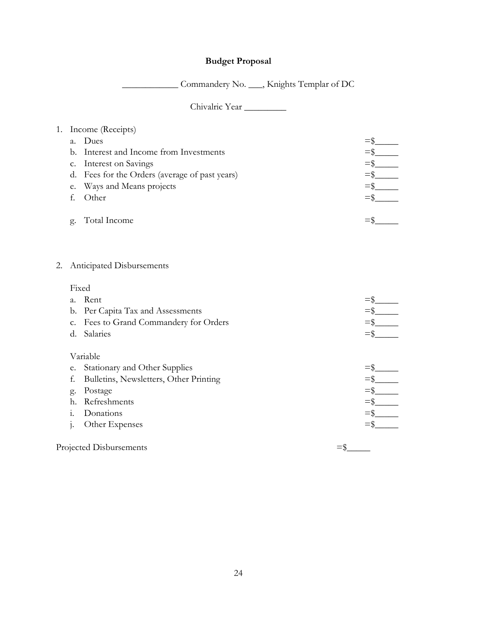# **Budget Proposal**

\_\_\_\_\_\_\_\_\_\_\_\_ Commandery No. \_\_\_, Knights Templar of DC

Chivalric Year \_\_\_\_\_\_\_\_\_

# <span id="page-29-0"></span>1. Income (Receipts) a. Dues  $=\frac{2}{3}$ <br>b. Interest and Income from Investments  $=\frac{2}{3}$ b. Interest and Income from Investments c. Interest on Savings  $=\frac{1}{2}$ d. Fees for the Orders (average of past years)  $=\$ e. Ways and Means projects  $=$ \$ f. Other  $=\S$ g. Total Income =\$\_\_\_\_\_

#### 2. Anticipated Disbursements

#### Fixed

| $a_{\cdot}$ | Rent                                   |  |
|-------------|----------------------------------------|--|
| b.          | Per Capita Tax and Assessments         |  |
| c.          | Fees to Grand Commandery for Orders    |  |
| d.          | Salaries                               |  |
|             |                                        |  |
|             | Variable                               |  |
| e.          | Stationary and Other Supplies          |  |
| f.          | Bulletins, Newsletters, Other Printing |  |
| g.          | Postage                                |  |
| h.          | Refreshments                           |  |
| 1.          | Donations                              |  |
|             | Other Expenses                         |  |
|             | Projected Disbursements                |  |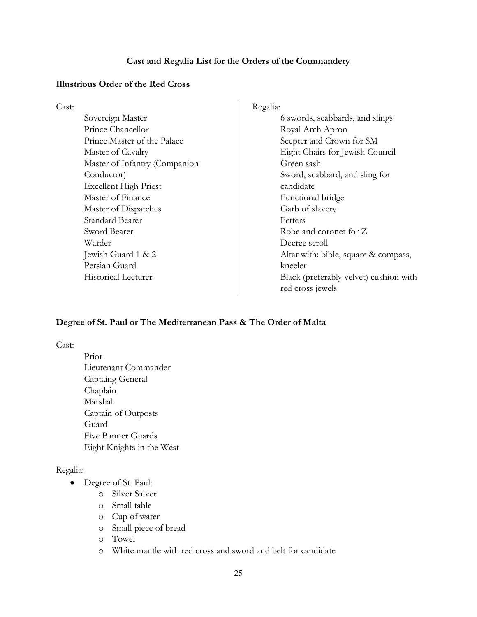#### **Cast and Regalia List for the Orders of the Commandery**

#### <span id="page-30-1"></span><span id="page-30-0"></span>**Illustrious Order of the Red Cross**

Cast:

Sovereign Master Prince Chancellor Prince Master of the Palace Master of Cavalry Master of Infantry (Companion Conductor) Excellent High Priest Master of Finance Master of Dispatches Standard Bearer Sword Bearer Warder Jewish Guard 1 & 2 Persian Guard Historical Lecturer

Regalia: 6 swords, scabbards, and slings Royal Arch Apron Scepter and Crown for SM Eight Chairs for Jewish Council Green sash Sword, scabbard, and sling for candidate Functional bridge Garb of slavery Fetters Robe and coronet for Z Decree scroll Altar with: bible, square & compass, kneeler Black (preferably velvet) cushion with red cross jewels

## <span id="page-30-2"></span>**Degree of St. Paul or The Mediterranean Pass & The Order of Malta**

Cast:

Prior Lieutenant Commander Captaing General Chaplain Marshal Captain of Outposts Guard Five Banner Guards Eight Knights in the West

#### Regalia:

- Degree of St. Paul:
	- o Silver Salver
	- o Small table
	- o Cup of water
	- o Small piece of bread
	- o Towel
	- o White mantle with red cross and sword and belt for candidate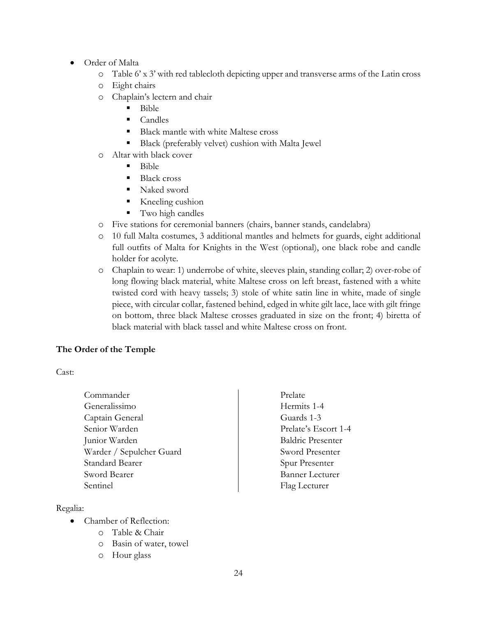- Order of Malta
	- o Table 6' x 3' with red tablecloth depicting upper and transverse arms of the Latin cross
	- o Eight chairs
	- o Chaplain's lectern and chair
		- $-Bible$
		- $\blacksquare$  Candles
		- Black mantle with white Maltese cross
		- Black (preferably velvet) cushion with Malta Jewel
	- o Altar with black cover
		- $\blacksquare$  Bible
		- Black cross
		- Naked sword
		- Kneeling cushion
		- **Two high candles**
	- o Five stations for ceremonial banners (chairs, banner stands, candelabra)
	- o 10 full Malta costumes, 3 additional mantles and helmets for guards, eight additional full outfits of Malta for Knights in the West (optional), one black robe and candle holder for acolyte.
	- o Chaplain to wear: 1) underrobe of white, sleeves plain, standing collar; 2) over-robe of long flowing black material, white Maltese cross on left breast, fastened with a white twisted cord with heavy tassels; 3) stole of white satin line in white, made of single piece, with circular collar, fastened behind, edged in white gilt lace, lace with gilt fringe on bottom, three black Maltese crosses graduated in size on the front; 4) biretta of black material with black tassel and white Maltese cross on front.

## <span id="page-31-0"></span>**The Order of the Temple**

Cast:

Commander Generalissimo Captain General Senior Warden Junior Warden Warder / Sepulcher Guard Standard Bearer Sword Bearer Sentinel

Regalia:

- Chamber of Reflection:
	- o Table & Chair
	- o Basin of water, towel
	- o Hour glass

Prelate Hermits 1-4 Guards 1-3 Prelate's Escort 1-4 Baldric Presenter Sword Presenter Spur Presenter Banner Lecturer Flag Lecturer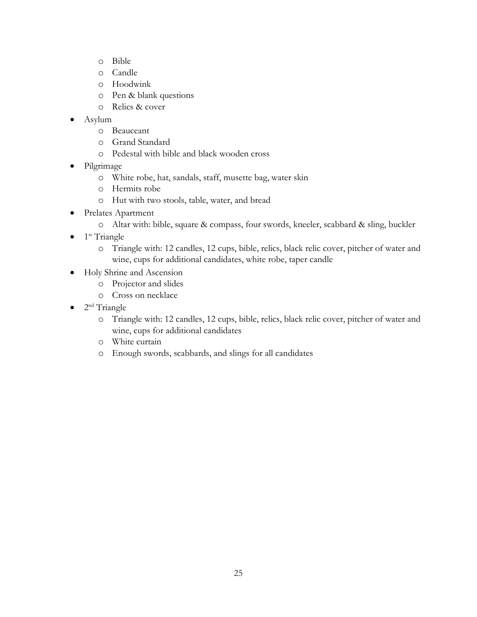- o Bible
- o Candle
- o Hoodwink
- o Pen & blank questions
- o Relics & cover
- Asylum
	- o Beauceant
	- o Grand Standard
	- o Pedestal with bible and black wooden cross
- Pilgrimage
	- o White robe, hat, sandals, staff, musette bag, water skin
	- o Hermits robe
	- o Hut with two stools, table, water, and bread
- Prelates Apartment
	- o Altar with: bible, square & compass, four swords, kneeler, scabbard & sling, buckler
- $\bullet$  1<sup>st</sup> Triangle
	- o Triangle with: 12 candles, 12 cups, bible, relics, black relic cover, pitcher of water and wine, cups for additional candidates, white robe, taper candle
- Holy Shrine and Ascension
	- o Projector and slides
	- o Cross on necklace
- $2<sup>nd</sup>$  Triangle
	- o Triangle with: 12 candles, 12 cups, bible, relics, black relic cover, pitcher of water and wine, cups for additional candidates
	- o White curtain
	- o Enough swords, scabbards, and slings for all candidates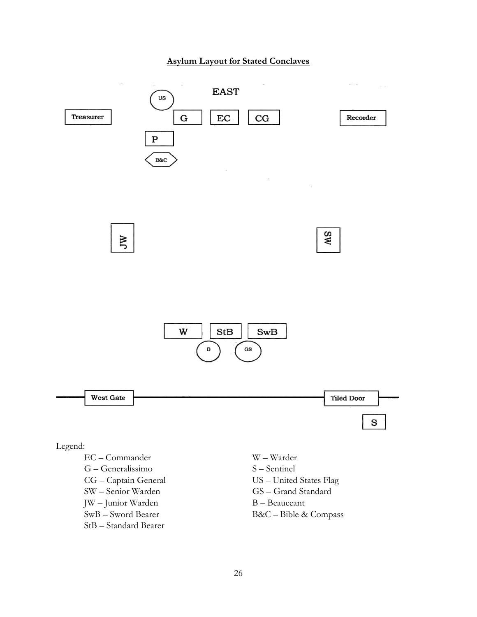# **Asylum Layout for Stated Conclaves**

<span id="page-33-0"></span>

StB – Standard Bearer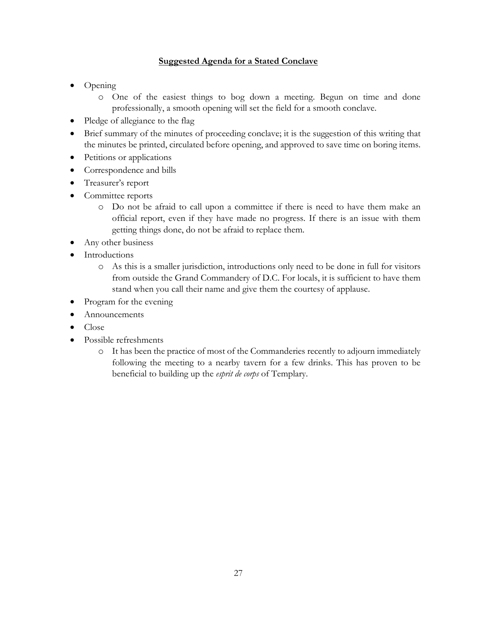# **Suggested Agenda for a Stated Conclave**

- <span id="page-34-0"></span>• Opening
	- o One of the easiest things to bog down a meeting. Begun on time and done professionally, a smooth opening will set the field for a smooth conclave.
- Pledge of allegiance to the flag
- Brief summary of the minutes of proceeding conclave; it is the suggestion of this writing that the minutes be printed, circulated before opening, and approved to save time on boring items.
- Petitions or applications
- Correspondence and bills
- Treasurer's report
- Committee reports
	- o Do not be afraid to call upon a committee if there is need to have them make an official report, even if they have made no progress. If there is an issue with them getting things done, do not be afraid to replace them.
- Any other business
- Introductions
	- o As this is a smaller jurisdiction, introductions only need to be done in full for visitors from outside the Grand Commandery of D.C. For locals, it is sufficient to have them stand when you call their name and give them the courtesy of applause.
- Program for the evening
- Announcements
- Close
- Possible refreshments
	- o It has been the practice of most of the Commanderies recently to adjourn immediately following the meeting to a nearby tavern for a few drinks. This has proven to be beneficial to building up the *esprit de corps* of Templary.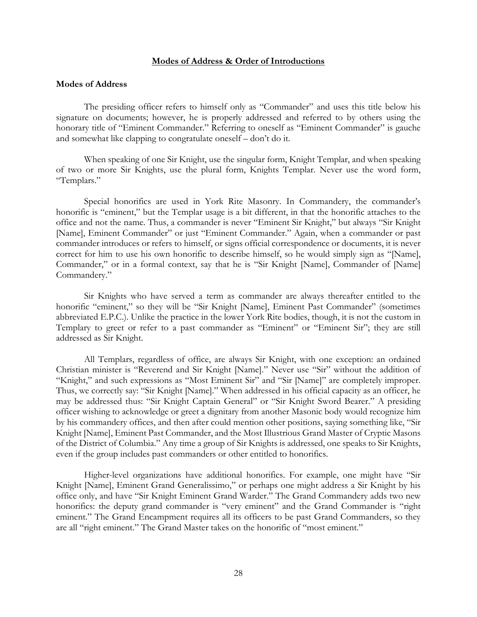#### **Modes of Address & Order of Introductions**

#### <span id="page-35-1"></span><span id="page-35-0"></span>**Modes of Address**

The presiding officer refers to himself only as "Commander" and uses this title below his signature on documents; however, he is properly addressed and referred to by others using the honorary title of "Eminent Commander." Referring to oneself as "Eminent Commander" is gauche and somewhat like clapping to congratulate oneself – don't do it.

When speaking of one Sir Knight, use the singular form, Knight Templar, and when speaking of two or more Sir Knights, use the plural form, Knights Templar. Never use the word form, "Templars."

Special honorifics are used in York Rite Masonry. In Commandery, the commander's honorific is "eminent," but the Templar usage is a bit different, in that the honorific attaches to the office and not the name. Thus, a commander is never "Eminent Sir Knight," but always "Sir Knight [Name], Eminent Commander" or just "Eminent Commander." Again, when a commander or past commander introduces or refers to himself, or signs official correspondence or documents, it is never correct for him to use his own honorific to describe himself, so he would simply sign as "[Name], Commander," or in a formal context, say that he is "Sir Knight [Name], Commander of [Name] Commandery."

Sir Knights who have served a term as commander are always thereafter entitled to the honorific "eminent," so they will be "Sir Knight [Name], Eminent Past Commander" (sometimes abbreviated E.P.C.). Unlike the practice in the lower York Rite bodies, though, it is not the custom in Templary to greet or refer to a past commander as "Eminent" or "Eminent Sir"; they are still addressed as Sir Knight.

All Templars, regardless of office, are always Sir Knight, with one exception: an ordained Christian minister is "Reverend and Sir Knight [Name]." Never use "Sir" without the addition of "Knight," and such expressions as "Most Eminent Sir" and "Sir [Name]" are completely improper. Thus, we correctly say: "Sir Knight [Name]." When addressed in his official capacity as an officer, he may be addressed thus: "Sir Knight Captain General" or "Sir Knight Sword Bearer." A presiding officer wishing to acknowledge or greet a dignitary from another Masonic body would recognize him by his commandery offices, and then after could mention other positions, saying something like, "Sir Knight [Name], Eminent Past Commander, and the Most Illustrious Grand Master of Cryptic Masons of the District of Columbia." Any time a group of Sir Knights is addressed, one speaks to Sir Knights, even if the group includes past commanders or other entitled to honorifics.

Higher-level organizations have additional honorifics. For example, one might have "Sir Knight [Name], Eminent Grand Generalissimo," or perhaps one might address a Sir Knight by his office only, and have "Sir Knight Eminent Grand Warder." The Grand Commandery adds two new honorifics: the deputy grand commander is "very eminent" and the Grand Commander is "right eminent." The Grand Encampment requires all its officers to be past Grand Commanders, so they are all "right eminent." The Grand Master takes on the honorific of "most eminent."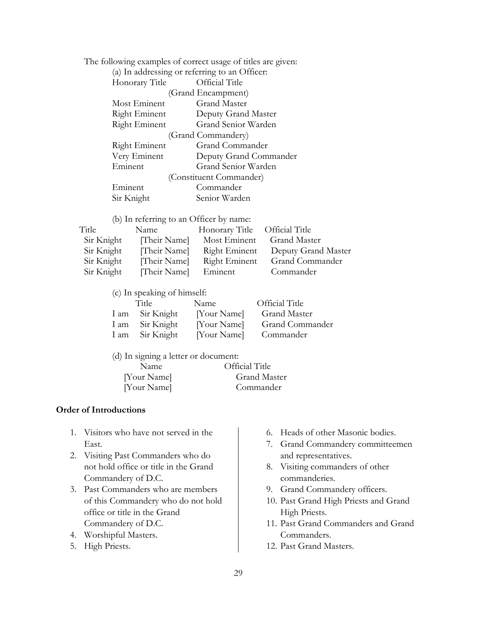The following examples of correct usage of titles are given:

|                      | (a) In addressing or referring to an Officer: |
|----------------------|-----------------------------------------------|
| Honorary Title       | Official Title                                |
|                      | (Grand Encampment)                            |
| Most Eminent         | Grand Master                                  |
| Right Eminent        | Deputy Grand Master                           |
| Right Eminent        | Grand Senior Warden                           |
|                      | (Grand Commandery)                            |
| <b>Right Eminent</b> | Grand Commander                               |
| Very Eminent         | Deputy Grand Commander                        |
| Eminent              | Grand Senior Warden                           |
|                      | (Constituent Commander)                       |
| Eminent              | Commander                                     |
| Sir Knight           | Senior Warden                                 |

(b) In referring to an Officer by name:

| Title      | Name         | Honorary Title Official Title |                     |
|------------|--------------|-------------------------------|---------------------|
| Sir Knight | [Their Name] | Most Eminent                  | Grand Master        |
| Sir Knight | [Their Name] | Right Eminent                 | Deputy Grand Master |
| Sir Knight | [Their Name] | Right Eminent                 | Grand Commander     |
| Sir Knight | [Their Name] | Eminent                       | Commander           |

(c) In speaking of himself:

| Title           | Name        | <b>Official Title</b>  |
|-----------------|-------------|------------------------|
| I am Sir Knight | [Your Name] | <b>Grand Master</b>    |
| I am Sir Knight | [Your Name] | <b>Grand Commander</b> |
| I am Sir Knight | [Your Name] | Commander              |

| (d) In signing a letter or document: |                |
|--------------------------------------|----------------|
| Name                                 | Official Title |
| [Your Name]                          | Grand Master   |
| [Your Name]                          | Commander      |

### **Order of Introductions**

- 1. Visitors who have not served in the East.
- 2. Visiting Past Commanders who do not hold office or title in the Grand Commandery of D.C.
- 3. Past Commanders who are members of this Commandery who do not hold office or title in the Grand Commandery of D.C.
- 4. Worshipful Masters.
- 5. High Priests.
- 6. Heads of other Masonic bodies.
- 7. Grand Commandery committeemen and representatives.
- 8. Visiting commanders of other commanderies.
- 9. Grand Commandery officers.
- 10. Past Grand High Priests and Grand High Priests.
- 11. Past Grand Commanders and Grand Commanders.
- 12. Past Grand Masters.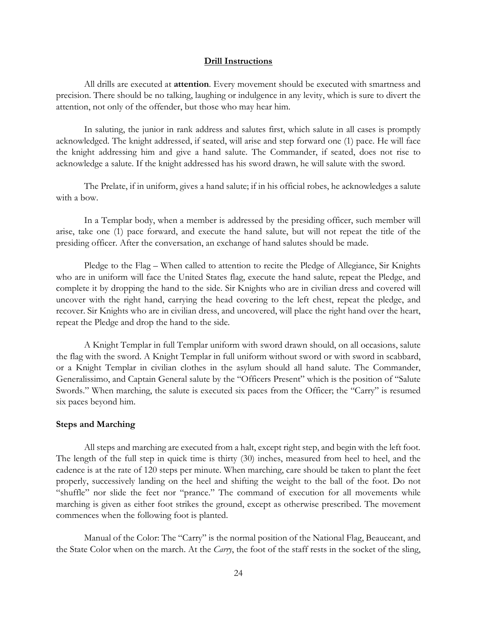#### **Drill Instructions**

All drills are executed at **attention**. Every movement should be executed with smartness and precision. There should be no talking, laughing or indulgence in any levity, which is sure to divert the attention, not only of the offender, but those who may hear him.

In saluting, the junior in rank address and salutes first, which salute in all cases is promptly acknowledged. The knight addressed, if seated, will arise and step forward one (1) pace. He will face the knight addressing him and give a hand salute. The Commander, if seated, does not rise to acknowledge a salute. If the knight addressed has his sword drawn, he will salute with the sword.

The Prelate, if in uniform, gives a hand salute; if in his official robes, he acknowledges a salute with a bow.

In a Templar body, when a member is addressed by the presiding officer, such member will arise, take one (1) pace forward, and execute the hand salute, but will not repeat the title of the presiding officer. After the conversation, an exchange of hand salutes should be made.

Pledge to the Flag – When called to attention to recite the Pledge of Allegiance, Sir Knights who are in uniform will face the United States flag, execute the hand salute, repeat the Pledge, and complete it by dropping the hand to the side. Sir Knights who are in civilian dress and covered will uncover with the right hand, carrying the head covering to the left chest, repeat the pledge, and recover. Sir Knights who are in civilian dress, and uncovered, will place the right hand over the heart, repeat the Pledge and drop the hand to the side.

A Knight Templar in full Templar uniform with sword drawn should, on all occasions, salute the flag with the sword. A Knight Templar in full uniform without sword or with sword in scabbard, or a Knight Templar in civilian clothes in the asylum should all hand salute. The Commander, Generalissimo, and Captain General salute by the "Officers Present" which is the position of "Salute Swords." When marching, the salute is executed six paces from the Officer; the "Carry" is resumed six paces beyond him.

#### **Steps and Marching**

All steps and marching are executed from a halt, except right step, and begin with the left foot. The length of the full step in quick time is thirty (30) inches, measured from heel to heel, and the cadence is at the rate of 120 steps per minute. When marching, care should be taken to plant the feet properly, successively landing on the heel and shifting the weight to the ball of the foot. Do not "shuffle" nor slide the feet nor "prance." The command of execution for all movements while marching is given as either foot strikes the ground, except as otherwise prescribed. The movement commences when the following foot is planted.

Manual of the Color: The "Carry" is the normal position of the National Flag, Beauceant, and the State Color when on the march. At the *Carry*, the foot of the staff rests in the socket of the sling,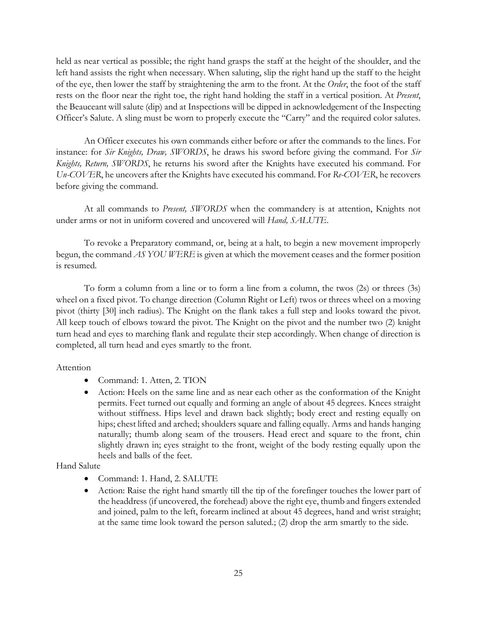held as near vertical as possible; the right hand grasps the staff at the height of the shoulder, and the left hand assists the right when necessary. When saluting, slip the right hand up the staff to the height of the eye, then lower the staff by straightening the arm to the front. At the *Order*, the foot of the staff rests on the floor near the right toe, the right hand holding the staff in a vertical position. At *Present*, the Beauceant will salute (dip) and at Inspections will be dipped in acknowledgement of the Inspecting Officer's Salute. A sling must be worn to properly execute the "Carry" and the required color salutes.

An Officer executes his own commands either before or after the commands to the lines. For instance: for *Sir Knights, Draw, SWORDS*, he draws his sword before giving the command. For *Sir Knights, Return, SWORDS*, he returns his sword after the Knights have executed his command. For *Un-COVER*, he uncovers after the Knights have executed his command. For *Re-COVER*, he recovers before giving the command.

At all commands to *Present, SWORDS* when the commandery is at attention, Knights not under arms or not in uniform covered and uncovered will *Hand, SALUTE*.

To revoke a Preparatory command, or, being at a halt, to begin a new movement improperly begun, the command *AS YOU WERE* is given at which the movement ceases and the former position is resumed.

To form a column from a line or to form a line from a column, the twos (2s) or threes (3s) wheel on a fixed pivot. To change direction (Column Right or Left) twos or threes wheel on a moving pivot (thirty [30] inch radius). The Knight on the flank takes a full step and looks toward the pivot. All keep touch of elbows toward the pivot. The Knight on the pivot and the number two (2) knight turn head and eyes to marching flank and regulate their step accordingly. When change of direction is completed, all turn head and eyes smartly to the front.

## Attention

- Command: 1. Atten, 2. TION
- Action: Heels on the same line and as near each other as the conformation of the Knight permits. Feet turned out equally and forming an angle of about 45 degrees. Knees straight without stiffness. Hips level and drawn back slightly; body erect and resting equally on hips; chest lifted and arched; shoulders square and falling equally. Arms and hands hanging naturally; thumb along seam of the trousers. Head erect and square to the front, chin slightly drawn in; eyes straight to the front, weight of the body resting equally upon the heels and balls of the feet.

Hand Salute

- Command: 1. Hand, 2. SALUTE
- Action: Raise the right hand smartly till the tip of the forefinger touches the lower part of the headdress (if uncovered, the forehead) above the right eye, thumb and fingers extended and joined, palm to the left, forearm inclined at about 45 degrees, hand and wrist straight; at the same time look toward the person saluted.; (2) drop the arm smartly to the side.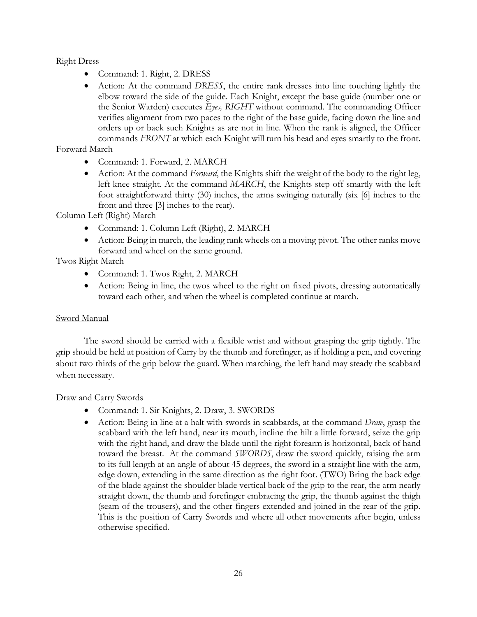Right Dress

- Command: 1. Right, 2. DRESS
- Action: At the command *DRESS*, the entire rank dresses into line touching lightly the elbow toward the side of the guide. Each Knight, except the base guide (number one or the Senior Warden) executes *Eyes, RIGHT* without command. The commanding Officer verifies alignment from two paces to the right of the base guide, facing down the line and orders up or back such Knights as are not in line. When the rank is aligned, the Officer commands *FRONT* at which each Knight will turn his head and eyes smartly to the front.

Forward March

- Command: 1. Forward, 2. MARCH
- Action: At the command *Forward*, the Knights shift the weight of the body to the right leg, left knee straight. At the command *MARCH*, the Knights step off smartly with the left foot straightforward thirty (30) inches, the arms swinging naturally (six [6] inches to the front and three [3] inches to the rear).

Column Left (Right) March

- Command: 1. Column Left (Right), 2. MARCH
- Action: Being in march, the leading rank wheels on a moving pivot. The other ranks move forward and wheel on the same ground.

# Twos Right March

- Command: 1. Twos Right, 2. MARCH
- Action: Being in line, the twos wheel to the right on fixed pivots, dressing automatically toward each other, and when the wheel is completed continue at march.

## Sword Manual

The sword should be carried with a flexible wrist and without grasping the grip tightly. The grip should be held at position of Carry by the thumb and forefinger, as if holding a pen, and covering about two thirds of the grip below the guard. When marching, the left hand may steady the scabbard when necessary.

Draw and Carry Swords

- Command: 1. Sir Knights, 2. Draw, 3. SWORDS
- Action: Being in line at a halt with swords in scabbards, at the command *Draw*, grasp the scabbard with the left hand, near its mouth, incline the hilt a little forward, seize the grip with the right hand, and draw the blade until the right forearm is horizontal, back of hand toward the breast. At the command *SWORDS*, draw the sword quickly, raising the arm to its full length at an angle of about 45 degrees, the sword in a straight line with the arm, edge down, extending in the same direction as the right foot. (TWO) Bring the back edge of the blade against the shoulder blade vertical back of the grip to the rear, the arm nearly straight down, the thumb and forefinger embracing the grip, the thumb against the thigh (seam of the trousers), and the other fingers extended and joined in the rear of the grip. This is the position of Carry Swords and where all other movements after begin, unless otherwise specified.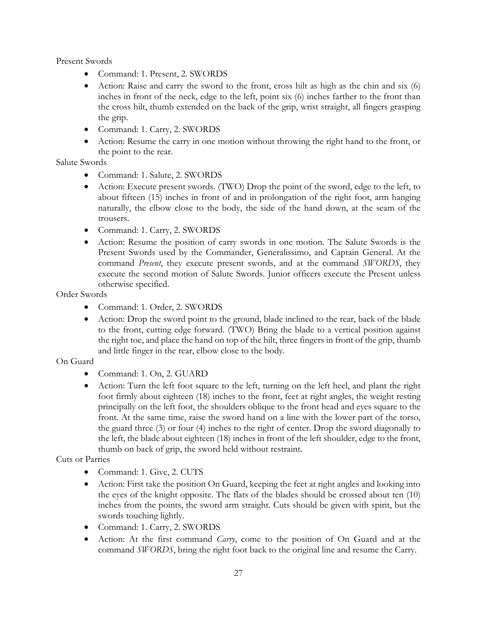Present Swords

- Command: 1. Present, 2. SWORDS
- Action: Raise and carry the sword to the front, cross hilt as high as the chin and six (6) inches in front of the neck, edge to the left, point six (6) inches farther to the front than the cross hilt, thumb extended on the back of the grip, wrist straight, all fingers grasping the grip.
- Command: 1. Carry, 2. SWORDS
- Action: Resume the carry in one motion without throwing the right hand to the front, or the point to the rear.

Salute Swords

- Command: 1. Salute, 2. SWORDS
- Action: Execute present swords. (TWO) Drop the point of the sword, edge to the left, to about fifteen (15) inches in front of and in prolongation of the right foot, arm hanging naturally, the elbow close to the body, the side of the hand down, at the seam of the trousers.
- Command: 1. Carry, 2. SWORDS
- Action: Resume the position of carry swords in one motion. The Salute Swords is the Present Swords used by the Commander, Generalissimo, and Captain General. At the command *Present*, they execute present swords, and at the command *SWORDS*, they execute the second motion of Salute Swords. Junior officers execute the Present unless otherwise specified.

Order Swords

- Command: 1. Order, 2. SWORDS
- Action: Drop the sword point to the ground, blade inclined to the rear, back of the blade to the front, cutting edge forward. (TWO) Bring the blade to a vertical position against the right toe, and place the hand on top of the hilt, three fingers in front of the grip, thumb and little finger in the rear, elbow close to the body.

# On Guard

- Command: 1. On, 2. GUARD
- Action: Turn the left foot square to the left, turning on the left heel, and plant the right foot firmly about eighteen (18) inches to the front, feet at right angles, the weight resting principally on the left foot, the shoulders oblique to the front head and eyes square to the front. At the same time, raise the sword hand on a line with the lower part of the torso, the guard three (3) or four (4) inches to the right of center. Drop the sword diagonally to the left, the blade about eighteen (18) inches in front of the left shoulder, edge to the front, thumb on back of grip, the sword held without restraint.

# Cuts or Parries

- Command: 1. Give, 2. CUTS
- Action: First take the position On Guard, keeping the feet at right angles and looking into the eyes of the knight opposite. The flats of the blades should be crossed about ten (10) inches from the points, the sword arm straight. Cuts should be given with spirit, but the swords touching lightly.
- Command: 1. Carry, 2. SWORDS
- Action: At the first command *Carry*, come to the position of On Guard and at the command *SWORDS*, bring the right foot back to the original line and resume the Carry.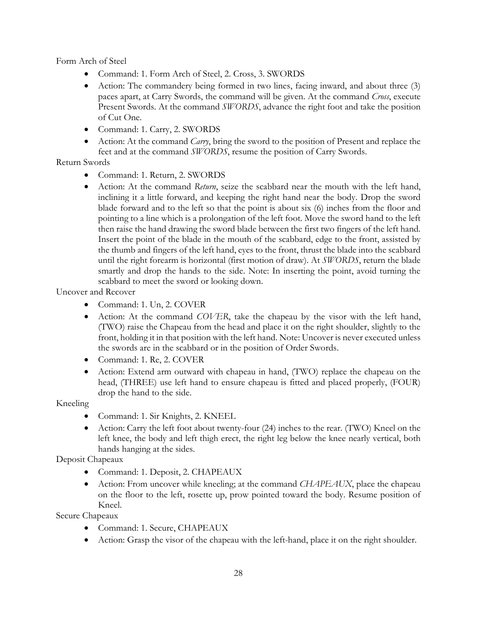Form Arch of Steel

- Command: 1. Form Arch of Steel, 2. Cross, 3. SWORDS
- Action: The commandery being formed in two lines, facing inward, and about three (3) paces apart, at Carry Swords, the command will be given. At the command *Cross*, execute Present Swords. At the command *SWORDS*, advance the right foot and take the position of Cut One.
- Command: 1. Carry, 2. SWORDS
- Action: At the command *Carry*, bring the sword to the position of Present and replace the feet and at the command *SWORDS*, resume the position of Carry Swords.

# Return Swords

- Command: 1. Return, 2. SWORDS
- Action: At the command *Return*, seize the scabbard near the mouth with the left hand, inclining it a little forward, and keeping the right hand near the body. Drop the sword blade forward and to the left so that the point is about six (6) inches from the floor and pointing to a line which is a prolongation of the left foot. Move the sword hand to the left then raise the hand drawing the sword blade between the first two fingers of the left hand. Insert the point of the blade in the mouth of the scabbard, edge to the front, assisted by the thumb and fingers of the left hand, eyes to the front, thrust the blade into the scabbard until the right forearm is horizontal (first motion of draw). At *SWORDS*, return the blade smartly and drop the hands to the side. Note: In inserting the point, avoid turning the scabbard to meet the sword or looking down.

Uncover and Recover

- Command: 1. Un, 2. COVER
- Action: At the command *COVER*, take the chapeau by the visor with the left hand, (TWO) raise the Chapeau from the head and place it on the right shoulder, slightly to the front, holding it in that position with the left hand. Note: Uncover is never executed unless the swords are in the scabbard or in the position of Order Swords.
- Command: 1. Re, 2. COVER
- Action: Extend arm outward with chapeau in hand, (TWO) replace the chapeau on the head, (THREE) use left hand to ensure chapeau is fitted and placed properly, (FOUR) drop the hand to the side.

Kneeling

- Command: 1. Sir Knights, 2. KNEEL
- Action: Carry the left foot about twenty-four (24) inches to the rear. (TWO) Kneel on the left knee, the body and left thigh erect, the right leg below the knee nearly vertical, both hands hanging at the sides.

Deposit Chapeaux

- Command: 1. Deposit, 2. CHAPEAUX
- Action: From uncover while kneeling; at the command *CHAPEAUX*, place the chapeau on the floor to the left, rosette up, prow pointed toward the body. Resume position of Kneel.

Secure Chapeaux

- Command: 1. Secure, CHAPEAUX
- Action: Grasp the visor of the chapeau with the left-hand, place it on the right shoulder.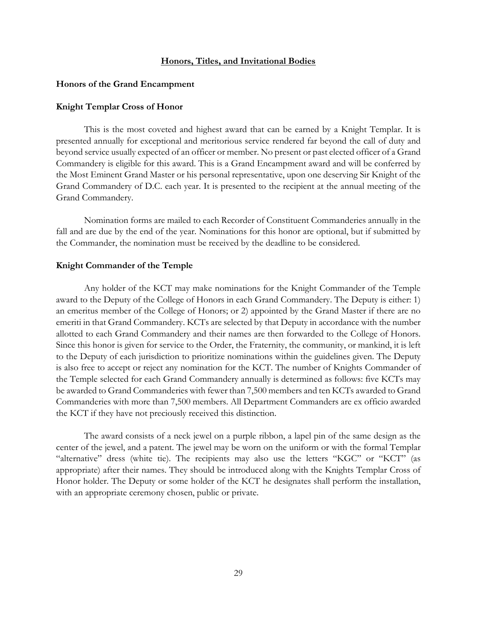#### **Honors, Titles, and Invitational Bodies**

#### **Honors of the Grand Encampment**

#### **Knight Templar Cross of Honor**

This is the most coveted and highest award that can be earned by a Knight Templar. It is presented annually for exceptional and meritorious service rendered far beyond the call of duty and beyond service usually expected of an officer or member. No present or past elected officer of a Grand Commandery is eligible for this award. This is a Grand Encampment award and will be conferred by the Most Eminent Grand Master or his personal representative, upon one deserving Sir Knight of the Grand Commandery of D.C. each year. It is presented to the recipient at the annual meeting of the Grand Commandery.

Nomination forms are mailed to each Recorder of Constituent Commanderies annually in the fall and are due by the end of the year. Nominations for this honor are optional, but if submitted by the Commander, the nomination must be received by the deadline to be considered.

#### **Knight Commander of the Temple**

Any holder of the KCT may make nominations for the Knight Commander of the Temple award to the Deputy of the College of Honors in each Grand Commandery. The Deputy is either: 1) an emeritus member of the College of Honors; or 2) appointed by the Grand Master if there are no emeriti in that Grand Commandery. KCTs are selected by that Deputy in accordance with the number allotted to each Grand Commandery and their names are then forwarded to the College of Honors. Since this honor is given for service to the Order, the Fraternity, the community, or mankind, it is left to the Deputy of each jurisdiction to prioritize nominations within the guidelines given. The Deputy is also free to accept or reject any nomination for the KCT. The number of Knights Commander of the Temple selected for each Grand Commandery annually is determined as follows: five KCTs may be awarded to Grand Commanderies with fewer than 7,500 members and ten KCTs awarded to Grand Commanderies with more than 7,500 members. All Department Commanders are ex officio awarded the KCT if they have not preciously received this distinction.

The award consists of a neck jewel on a purple ribbon, a lapel pin of the same design as the center of the jewel, and a patent. The jewel may be worn on the uniform or with the formal Templar "alternative" dress (white tie). The recipients may also use the letters "KGC" or "KCT" (as appropriate) after their names. They should be introduced along with the Knights Templar Cross of Honor holder. The Deputy or some holder of the KCT he designates shall perform the installation, with an appropriate ceremony chosen, public or private.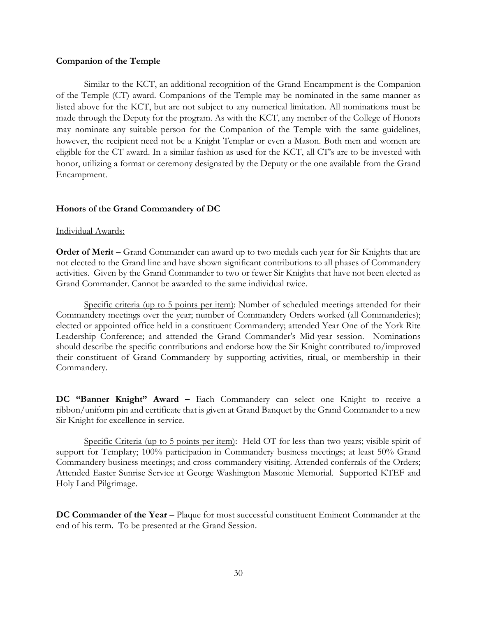#### **Companion of the Temple**

Similar to the KCT, an additional recognition of the Grand Encampment is the Companion of the Temple (CT) award. Companions of the Temple may be nominated in the same manner as listed above for the KCT, but are not subject to any numerical limitation. All nominations must be made through the Deputy for the program. As with the KCT, any member of the College of Honors may nominate any suitable person for the Companion of the Temple with the same guidelines, however, the recipient need not be a Knight Templar or even a Mason. Both men and women are eligible for the CT award. In a similar fashion as used for the KCT, all CT's are to be invested with honor, utilizing a format or ceremony designated by the Deputy or the one available from the Grand Encampment.

### **Honors of the Grand Commandery of DC**

#### Individual Awards:

**Order of Merit –** Grand Commander can award up to two medals each year for Sir Knights that are not elected to the Grand line and have shown significant contributions to all phases of Commandery activities. Given by the Grand Commander to two or fewer Sir Knights that have not been elected as Grand Commander. Cannot be awarded to the same individual twice.

Specific criteria (up to 5 points per item): Number of scheduled meetings attended for their Commandery meetings over the year; number of Commandery Orders worked (all Commanderies); elected or appointed office held in a constituent Commandery; attended Year One of the York Rite Leadership Conference; and attended the Grand Commander's Mid-year session. Nominations should describe the specific contributions and endorse how the Sir Knight contributed to/improved their constituent of Grand Commandery by supporting activities, ritual, or membership in their Commandery.

**DC "Banner Knight" Award –** Each Commandery can select one Knight to receive a ribbon/uniform pin and certificate that is given at Grand Banquet by the Grand Commander to a new Sir Knight for excellence in service.

Specific Criteria (up to 5 points per item): Held OT for less than two years; visible spirit of support for Templary; 100% participation in Commandery business meetings; at least 50% Grand Commandery business meetings; and cross-commandery visiting. Attended conferrals of the Orders; Attended Easter Sunrise Service at George Washington Masonic Memorial. Supported KTEF and Holy Land Pilgrimage.

**DC Commander of the Year - Plaque for most successful constituent Eminent Commander at the** end of his term. To be presented at the Grand Session.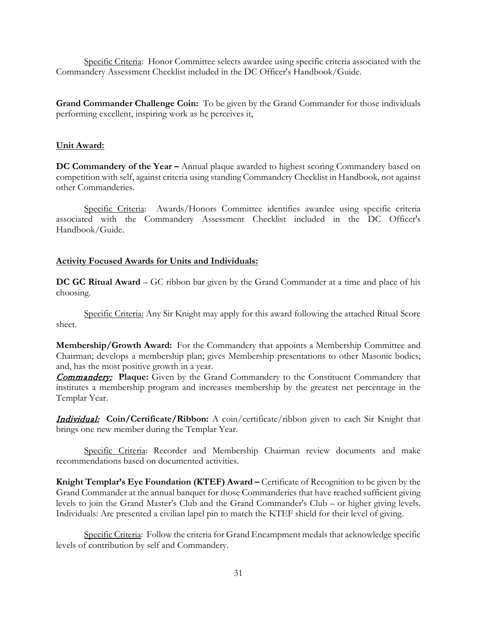Specific Criteria: Honor Committee selects awardee using specific criteria associated with the Commandery Assessment Checklist included in the DC Officer's Handbook/Guide.

**Grand Commander Challenge Coin:** To be given by the Grand Commander for those individuals performing excellent, inspiring work as he perceives it,

# **Unit Award:**

**DC Commandery of the Year –** Annual plaque awarded to highest scoring Commandery based on competition with self, against criteria using standing Commandery Checklist in Handbook, not against other Commanderies.

Specific Criteria: Awards/Honors Committee identifies awardee using specific criteria associated with the Commandery Assessment Checklist included in the DC Officer's Handbook/Guide.

# **Activity Focused Awards for Units and Individuals:**

**DC GC Ritual Award** – GC ribbon bar given by the Grand Commander at a time and place of his choosing.

Specific Criteria: Any Sir Knight may apply for this award following the attached Ritual Score sheet.

**Membership/Growth Award:** For the Commandery that appoints a Membership Committee and Chairman; develops a membership plan; gives Membership presentations to other Masonic bodies; and, has the most positive growth in a year.

**Commandery:** Plaque: Given by the Grand Commandery to the Constituent Commandery that institutes a membership program and increases membership by the greatest net percentage in the Templar Year.

Individual: **Coin/Certificate/Ribbon:** A coin/certificate/ribbon given to each Sir Knight that brings one new member during the Templar Year.

Specific Criteria: Recorder and Membership Chairman review documents and make recommendations based on documented activities.

**Knight Templar's Eye Foundation (KTEF) Award –** Certificate of Recognition to be given by the Grand Commander at the annual banquet for those Commanderies that have reached sufficient giving levels to join the Grand Master's Club and the Grand Commander's Club – or higher giving levels. Individuals: Are presented a civilian lapel pin to match the KTEF shield for their level of giving.

Specific Criteria: Follow the criteria for Grand Encampment medals that acknowledge specific levels of contribution by self and Commandery.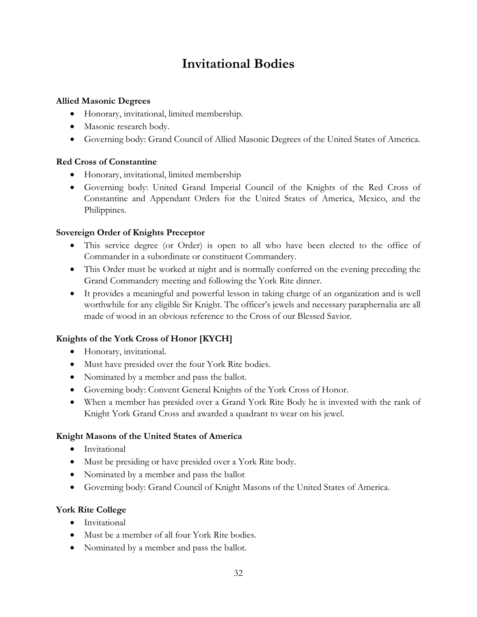# **Invitational Bodies**

# **Allied Masonic Degrees**

- Honorary, invitational, limited membership.
- Masonic research body.
- Governing body: Grand Council of Allied Masonic Degrees of the United States of America.

# **Red Cross of Constantine**

- Honorary, invitational, limited membership
- Governing body: United Grand Imperial Council of the Knights of the Red Cross of Constantine and Appendant Orders for the United States of America, Mexico, and the Philippines.

# **Sovereign Order of Knights Preceptor**

- This service degree (or Order) is open to all who have been elected to the office of Commander in a subordinate or constituent Commandery.
- This Order must be worked at night and is normally conferred on the evening preceding the Grand Commandery meeting and following the York Rite dinner.
- It provides a meaningful and powerful lesson in taking charge of an organization and is well worthwhile for any eligible Sir Knight. The officer's jewels and necessary paraphernalia are all made of wood in an obvious reference to the Cross of our Blessed Savior.

# **Knights of the York Cross of Honor [KYCH]**

- Honorary, invitational.
- Must have presided over the four York Rite bodies.
- Nominated by a member and pass the ballot.
- Governing body: Convent General Knights of the York Cross of Honor.
- When a member has presided over a Grand York Rite Body he is invested with the rank of Knight York Grand Cross and awarded a quadrant to wear on his jewel.

# **Knight Masons of the United States of America**

- Invitational
- Must be presiding or have presided over a York Rite body.
- Nominated by a member and pass the ballot
- Governing body: Grand Council of Knight Masons of the United States of America.

# **York Rite College**

- Invitational
- Must be a member of all four York Rite bodies.
- Nominated by a member and pass the ballot.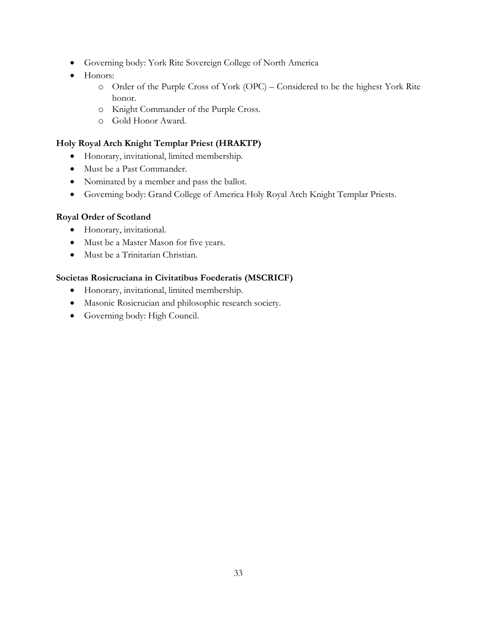- Governing body: York Rite Sovereign College of North America
- Honors:
	- o Order of the Purple Cross of York (OPC) Considered to be the highest York Rite honor.
	- o Knight Commander of the Purple Cross.
	- o Gold Honor Award.

# **Holy Royal Arch Knight Templar Priest (HRAKTP)**

- Honorary, invitational, limited membership.
- Must be a Past Commander.
- Nominated by a member and pass the ballot.
- Governing body: Grand College of America Holy Royal Arch Knight Templar Priests.

## **Royal Order of Scotland**

- Honorary, invitational.
- Must be a Master Mason for five years.
- Must be a Trinitarian Christian.

## **Societas Rosicruciana in Civitatibus Foederatis (MSCRICF)**

- Honorary, invitational, limited membership.
- Masonic Rosicrucian and philosophic research society.
- Governing body: High Council.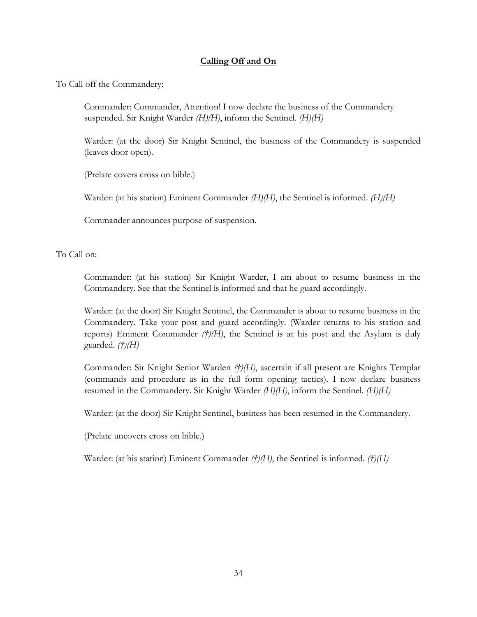# **Calling Off and On**

To Call off the Commandery:

Commander: Commander, Attention! I now declare the business of the Commandery suspended. Sir Knight Warder *(H)(H)*, inform the Sentinel. *(H)(H)*

Warder: (at the door) Sir Knight Sentinel, the business of the Commandery is suspended (leaves door open).

(Prelate covers cross on bible.)

Warder: (at his station) Eminent Commander *(H)(H)*, the Sentinel is informed. *(H)(H)*

Commander announces purpose of suspension.

To Call on:

Commander: (at his station) Sir Knight Warder, I am about to resume business in the Commandery. See that the Sentinel is informed and that he guard accordingly.

Warder: (at the door) Sir Knight Sentinel, the Commander is about to resume business in the Commandery. Take your post and guard accordingly. (Warder returns to his station and reports) Eminent Commander *(†)(H)*, the Sentinel is at his post and the Asylum is duly guarded. *(†)(H)*

Commander: Sir Knight Senior Warden *(†)(H)*, ascertain if all present are Knights Templar (commands and procedure as in the full form opening tactics). I now declare business resumed in the Commandery. Sir Knight Warder *(H)(H)*, inform the Sentinel. *(H)(H)*

Warder: (at the door) Sir Knight Sentinel, business has been resumed in the Commandery.

(Prelate uncovers cross on bible.)

Warder: (at his station) Eminent Commander *(†)(H)*, the Sentinel is informed. *(†)(H)*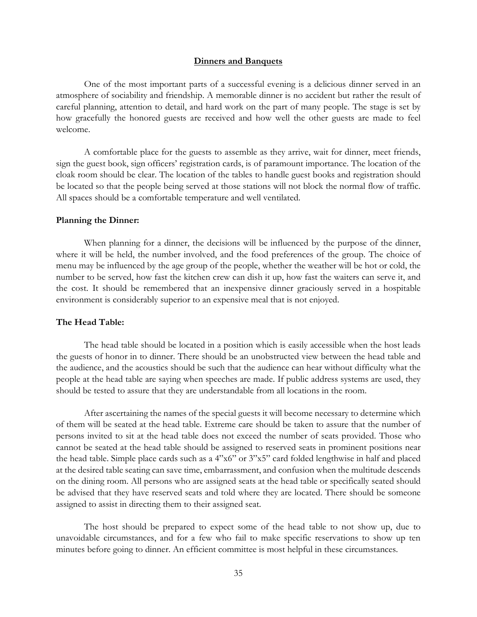#### **Dinners and Banquets**

One of the most important parts of a successful evening is a delicious dinner served in an atmosphere of sociability and friendship. A memorable dinner is no accident but rather the result of careful planning, attention to detail, and hard work on the part of many people. The stage is set by how gracefully the honored guests are received and how well the other guests are made to feel welcome.

A comfortable place for the guests to assemble as they arrive, wait for dinner, meet friends, sign the guest book, sign officers' registration cards, is of paramount importance. The location of the cloak room should be clear. The location of the tables to handle guest books and registration should be located so that the people being served at those stations will not block the normal flow of traffic. All spaces should be a comfortable temperature and well ventilated.

#### **Planning the Dinner:**

When planning for a dinner, the decisions will be influenced by the purpose of the dinner, where it will be held, the number involved, and the food preferences of the group. The choice of menu may be influenced by the age group of the people, whether the weather will be hot or cold, the number to be served, how fast the kitchen crew can dish it up, how fast the waiters can serve it, and the cost. It should be remembered that an inexpensive dinner graciously served in a hospitable environment is considerably superior to an expensive meal that is not enjoyed.

#### **The Head Table:**

The head table should be located in a position which is easily accessible when the host leads the guests of honor in to dinner. There should be an unobstructed view between the head table and the audience, and the acoustics should be such that the audience can hear without difficulty what the people at the head table are saying when speeches are made. If public address systems are used, they should be tested to assure that they are understandable from all locations in the room.

After ascertaining the names of the special guests it will become necessary to determine which of them will be seated at the head table. Extreme care should be taken to assure that the number of persons invited to sit at the head table does not exceed the number of seats provided. Those who cannot be seated at the head table should be assigned to reserved seats in prominent positions near the head table. Simple place cards such as a 4"x6" or 3"x5" card folded lengthwise in half and placed at the desired table seating can save time, embarrassment, and confusion when the multitude descends on the dining room. All persons who are assigned seats at the head table or specifically seated should be advised that they have reserved seats and told where they are located. There should be someone assigned to assist in directing them to their assigned seat.

The host should be prepared to expect some of the head table to not show up, due to unavoidable circumstances, and for a few who fail to make specific reservations to show up ten minutes before going to dinner. An efficient committee is most helpful in these circumstances.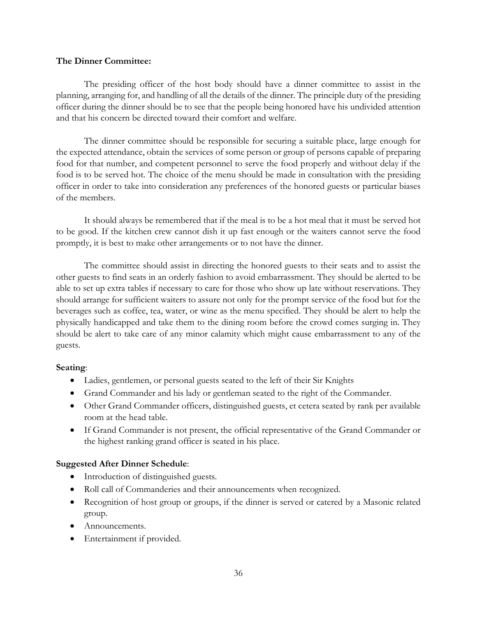### **The Dinner Committee:**

The presiding officer of the host body should have a dinner committee to assist in the planning, arranging for, and handling of all the details of the dinner. The principle duty of the presiding officer during the dinner should be to see that the people being honored have his undivided attention and that his concern be directed toward their comfort and welfare.

The dinner committee should be responsible for securing a suitable place, large enough for the expected attendance, obtain the services of some person or group of persons capable of preparing food for that number, and competent personnel to serve the food properly and without delay if the food is to be served hot. The choice of the menu should be made in consultation with the presiding officer in order to take into consideration any preferences of the honored guests or particular biases of the members.

It should always be remembered that if the meal is to be a hot meal that it must be served hot to be good. If the kitchen crew cannot dish it up fast enough or the waiters cannot serve the food promptly, it is best to make other arrangements or to not have the dinner.

The committee should assist in directing the honored guests to their seats and to assist the other guests to find seats in an orderly fashion to avoid embarrassment. They should be alerted to be able to set up extra tables if necessary to care for those who show up late without reservations. They should arrange for sufficient waiters to assure not only for the prompt service of the food but for the beverages such as coffee, tea, water, or wine as the menu specified. They should be alert to help the physically handicapped and take them to the dining room before the crowd comes surging in. They should be alert to take care of any minor calamity which might cause embarrassment to any of the guests.

## **Seating**:

- Ladies, gentlemen, or personal guests seated to the left of their Sir Knights
- Grand Commander and his lady or gentleman seated to the right of the Commander.
- Other Grand Commander officers, distinguished guests, et cetera seated by rank per available room at the head table.
- If Grand Commander is not present, the official representative of the Grand Commander or the highest ranking grand officer is seated in his place.

## **Suggested After Dinner Schedule**:

- Introduction of distinguished guests.
- Roll call of Commanderies and their announcements when recognized.
- Recognition of host group or groups, if the dinner is served or catered by a Masonic related group.
- Announcements.
- Entertainment if provided.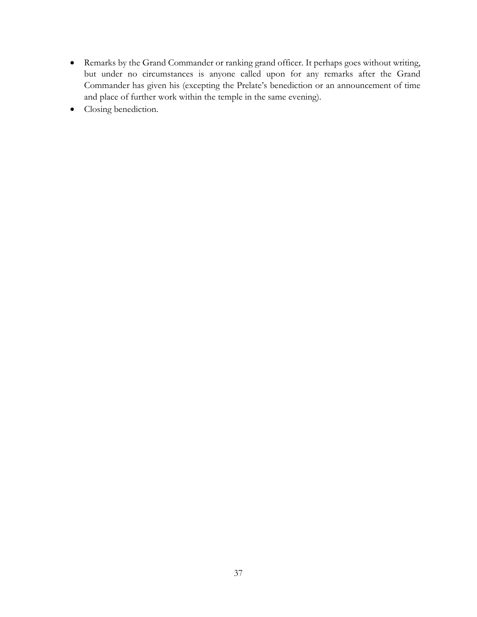- Remarks by the Grand Commander or ranking grand officer. It perhaps goes without writing, but under no circumstances is anyone called upon for any remarks after the Grand Commander has given his (excepting the Prelate's benediction or an announcement of time and place of further work within the temple in the same evening).
- Closing benediction.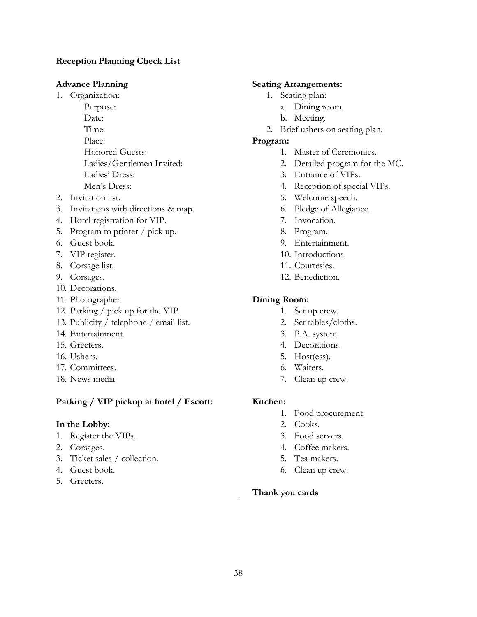# **Reception Planning Check List**

## **Advance Planning**

- 1. Organization:
	- Purpose: Date: Time: Place: Honored Guests: Ladies/Gentlemen Invited: Ladies' Dress: Men's Dress:
- 2. Invitation list.
- 3. Invitations with directions & map.
- 4. Hotel registration for VIP.
- 5. Program to printer / pick up.
- 6. Guest book.
- 7. VIP register.
- 8. Corsage list.
- 9. Corsages.
- 10. Decorations.
- 11. Photographer.
- 12. Parking / pick up for the VIP.
- 13. Publicity / telephone / email list.
- 14. Entertainment.
- 15. Greeters.
- 16. Ushers.
- 17. Committees.
- 18. News media.

## **Parking / VIP pickup at hotel / Escort:**

### **In the Lobby:**

- 1. Register the VIPs.
- 2. Corsages.
- 3. Ticket sales / collection.
- 4. Guest book.
- 5. Greeters.

### **Seating Arrangements:**

- 1. Seating plan:
	- a. Dining room.
	- b. Meeting.
- 2. Brief ushers on seating plan.

### **Program:**

- 1. Master of Ceremonies.
- 2. Detailed program for the MC.
- 3. Entrance of VIPs.
- 4. Reception of special VIPs.
- 5. Welcome speech.
- 6. Pledge of Allegiance.
- 7. Invocation.
- 8. Program.
- 9. Entertainment.
- 10. Introductions.
- 11. Courtesies.
- 12. Benediction.

## **Dining Room:**

- 1. Set up crew.
- 2. Set tables/cloths.
- 3. P.A. system.
- 4. Decorations.
- 5. Host(ess).
- 6. Waiters.
- 7. Clean up crew.

### **Kitchen:**

- 1. Food procurement.
- 2. Cooks.
- 3. Food servers.
- 4. Coffee makers.
- 5. Tea makers.
- 6. Clean up crew.

## **Thank you cards**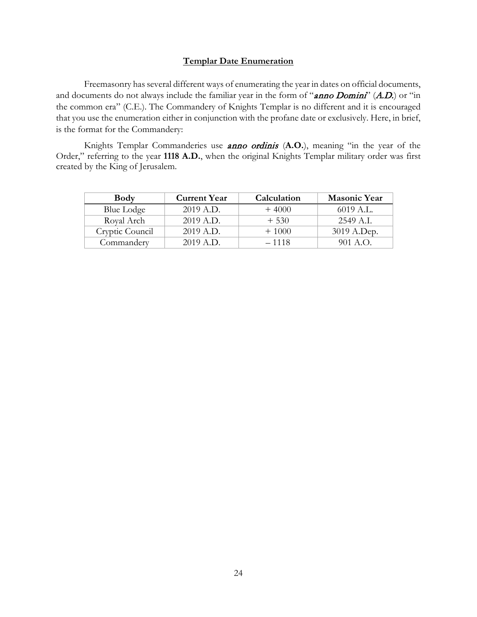#### **Templar Date Enumeration**

Freemasonry has several different ways of enumerating the year in dates on official documents, and documents do not always include the familiar year in the form of "anno Domini" (A.D.) or "in the common era" (C.E.). The Commandery of Knights Templar is no different and it is encouraged that you use the enumeration either in conjunction with the profane date or exclusively. Here, in brief, is the format for the Commandery:

Knights Templar Commanderies use anno ordinis (**A.O.**), meaning "in the year of the Order," referring to the year **1118 A.D.**, when the original Knights Templar military order was first created by the King of Jerusalem.

| <b>Body</b>     | <b>Current Year</b> | Calculation | <b>Masonic Year</b> |
|-----------------|---------------------|-------------|---------------------|
| Blue Lodge      | 2019 A.D.           | $+4000$     | 6019 A.L.           |
| Royal Arch      | 2019 A.D.           | $+530$      | 2549 A.I.           |
| Cryptic Council | 2019 A.D.           | $+1000$     | 3019 A.Dep.         |
| Commandery      | 2019 A.D.           | $-1118$     | $901 A.$ ().        |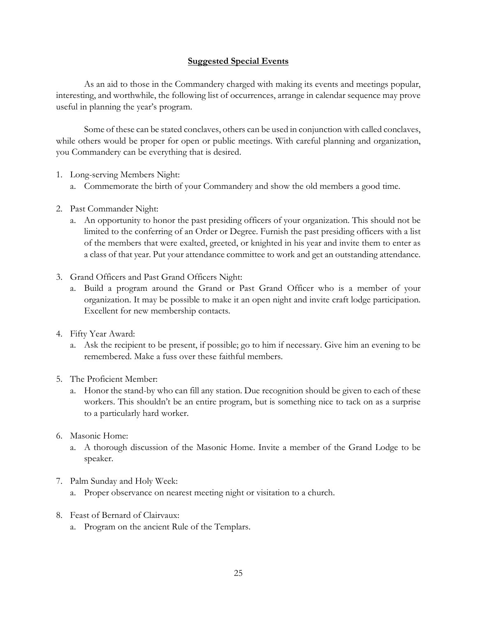## **Suggested Special Events**

As an aid to those in the Commandery charged with making its events and meetings popular, interesting, and worthwhile, the following list of occurrences, arrange in calendar sequence may prove useful in planning the year's program.

Some of these can be stated conclaves, others can be used in conjunction with called conclaves, while others would be proper for open or public meetings. With careful planning and organization, you Commandery can be everything that is desired.

- 1. Long-serving Members Night:
	- a. Commemorate the birth of your Commandery and show the old members a good time.
- 2. Past Commander Night:
	- a. An opportunity to honor the past presiding officers of your organization. This should not be limited to the conferring of an Order or Degree. Furnish the past presiding officers with a list of the members that were exalted, greeted, or knighted in his year and invite them to enter as a class of that year. Put your attendance committee to work and get an outstanding attendance.
- 3. Grand Officers and Past Grand Officers Night:
	- a. Build a program around the Grand or Past Grand Officer who is a member of your organization. It may be possible to make it an open night and invite craft lodge participation. Excellent for new membership contacts.
- 4. Fifty Year Award:
	- a. Ask the recipient to be present, if possible; go to him if necessary. Give him an evening to be remembered. Make a fuss over these faithful members.
- 5. The Proficient Member:
	- a. Honor the stand-by who can fill any station. Due recognition should be given to each of these workers. This shouldn't be an entire program, but is something nice to tack on as a surprise to a particularly hard worker.
- 6. Masonic Home:
	- a. A thorough discussion of the Masonic Home. Invite a member of the Grand Lodge to be speaker.
- 7. Palm Sunday and Holy Week:
	- a. Proper observance on nearest meeting night or visitation to a church.
- 8. Feast of Bernard of Clairvaux:
	- a. Program on the ancient Rule of the Templars.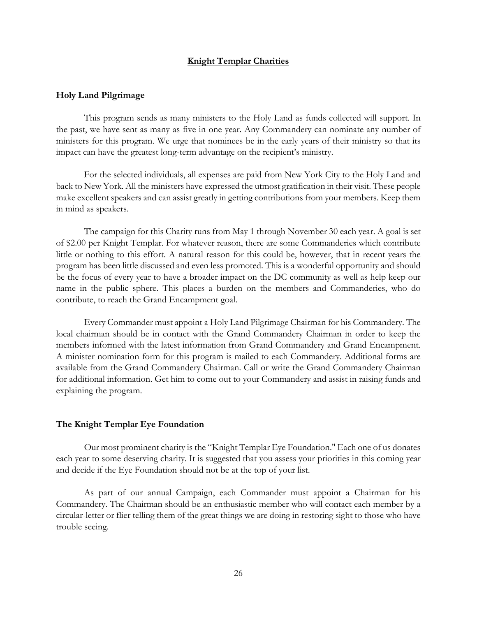#### **Knight Templar Charities**

#### **Holy Land Pilgrimage**

This program sends as many ministers to the Holy Land as funds collected will support. In the past, we have sent as many as five in one year. Any Commandery can nominate any number of ministers for this program. We urge that nominees be in the early years of their ministry so that its impact can have the greatest long-term advantage on the recipient's ministry.

For the selected individuals, all expenses are paid from New York City to the Holy Land and back to New York. All the ministers have expressed the utmost gratification in their visit. These people make excellent speakers and can assist greatly in getting contributions from your members. Keep them in mind as speakers.

The campaign for this Charity runs from May 1 through November 30 each year. A goal is set of \$2.00 per Knight Templar. For whatever reason, there are some Commanderies which contribute little or nothing to this effort. A natural reason for this could be, however, that in recent years the program has been little discussed and even less promoted. This is a wonderful opportunity and should be the focus of every year to have a broader impact on the DC community as well as help keep our name in the public sphere. This places a burden on the members and Commanderies, who do contribute, to reach the Grand Encampment goal.

Every Commander must appoint a Holy Land Pilgrimage Chairman for his Commandery. The local chairman should be in contact with the Grand Commandery Chairman in order to keep the members informed with the latest information from Grand Commandery and Grand Encampment. A minister nomination form for this program is mailed to each Commandery. Additional forms are available from the Grand Commandery Chairman. Call or write the Grand Commandery Chairman for additional information. Get him to come out to your Commandery and assist in raising funds and explaining the program.

#### **The Knight Templar Eye Foundation**

Our most prominent charity is the "Knight Templar Eye Foundation." Each one of us donates each year to some deserving charity. It is suggested that you assess your priorities in this coming year and decide if the Eye Foundation should not be at the top of your list.

As part of our annual Campaign, each Commander must appoint a Chairman for his Commandery. The Chairman should be an enthusiastic member who will contact each member by a circular-letter or flier telling them of the great things we are doing in restoring sight to those who have trouble seeing.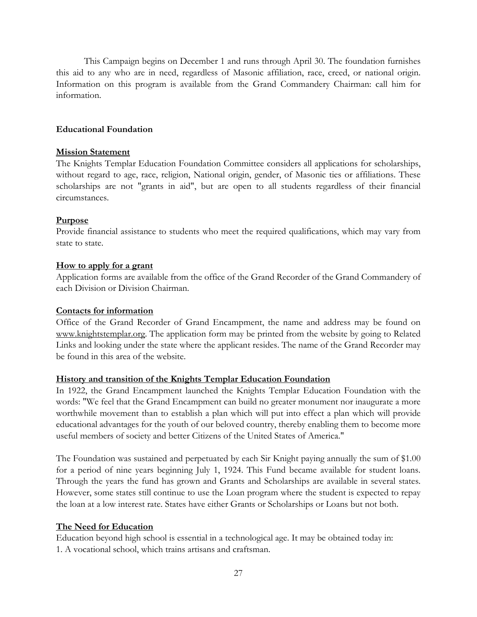This Campaign begins on December 1 and runs through April 30. The foundation furnishes this aid to any who are in need, regardless of Masonic affiliation, race, creed, or national origin. Information on this program is available from the Grand Commandery Chairman: call him for information.

## **Educational Foundation**

### **Mission Statement**

The Knights Templar Education Foundation Committee considers all applications for scholarships, without regard to age, race, religion, National origin, gender, of Masonic ties or affiliations. These scholarships are not "grants in aid", but are open to all students regardless of their financial circumstances.

### **Purpose**

Provide financial assistance to students who meet the required qualifications, which may vary from state to state.

### **How to apply for a grant**

Application forms are available from the office of the Grand Recorder of the Grand Commandery of each Division or Division Chairman.

### **Contacts for information**

Office of the Grand Recorder of Grand Encampment, the name and address may be found on [www.knightstemplar.org.](file://UFS02/Users$/emills/Desktop/www.knightstemplar.org) The application form may be printed from the website by going to Related Links and looking under the state where the applicant resides. The name of the Grand Recorder may be found in this area of the website.

## **History and transition of the Knights Templar Education Foundation**

In 1922, the Grand Encampment launched the Knights Templar Education Foundation with the words: "We feel that the Grand Encampment can build no greater monument nor inaugurate a more worthwhile movement than to establish a plan which will put into effect a plan which will provide educational advantages for the youth of our beloved country, thereby enabling them to become more useful members of society and better Citizens of the United States of America."

The Foundation was sustained and perpetuated by each Sir Knight paying annually the sum of \$1.00 for a period of nine years beginning July 1, 1924. This Fund became available for student loans. Through the years the fund has grown and Grants and Scholarships are available in several states. However, some states still continue to use the Loan program where the student is expected to repay the loan at a low interest rate. States have either Grants or Scholarships or Loans but not both.

## **The Need for Education**

Education beyond high school is essential in a technological age. It may be obtained today in: 1. A vocational school, which trains artisans and craftsman.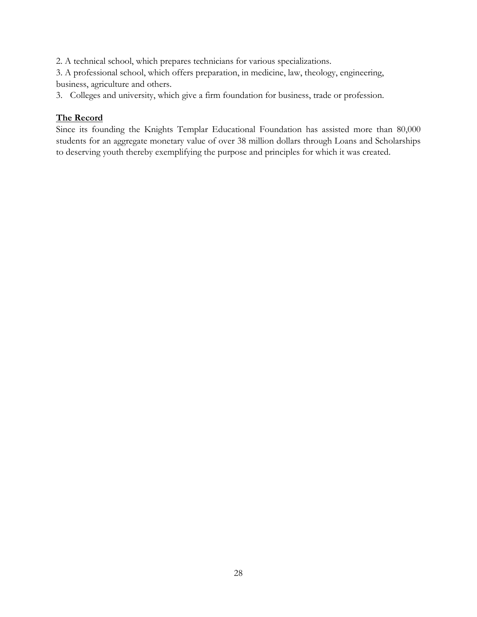2. A technical school, which prepares technicians for various specializations.

3. A professional school, which offers preparation, in medicine, law, theology, engineering, business, agriculture and others.

3. Colleges and university, which give a firm foundation for business, trade or profession.

# **The Record**

Since its founding the Knights Templar Educational Foundation has assisted more than 80,000 students for an aggregate monetary value of over 38 million dollars through Loans and Scholarships to deserving youth thereby exemplifying the purpose and principles for which it was created.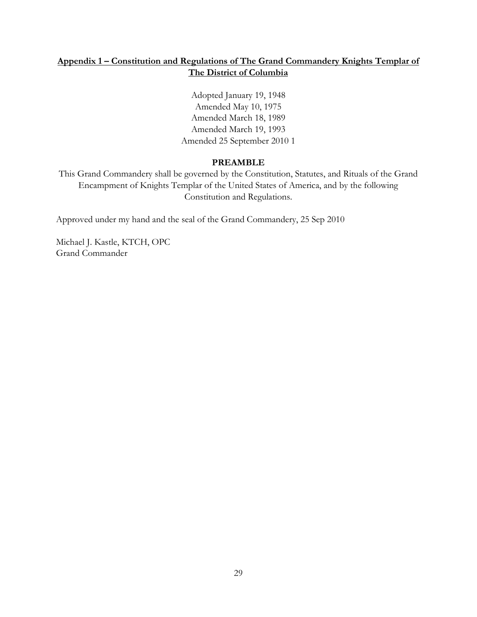# **Appendix 1 – Constitution and Regulations of The Grand Commandery Knights Templar of The District of Columbia**

Adopted January 19, 1948 Amended May 10, 1975 Amended March 18, 1989 Amended March 19, 1993 Amended 25 September 2010 1

# **PREAMBLE**

This Grand Commandery shall be governed by the Constitution, Statutes, and Rituals of the Grand Encampment of Knights Templar of the United States of America, and by the following Constitution and Regulations.

Approved under my hand and the seal of the Grand Commandery, 25 Sep 2010

Michael J. Kastle, KTCH, OPC Grand Commander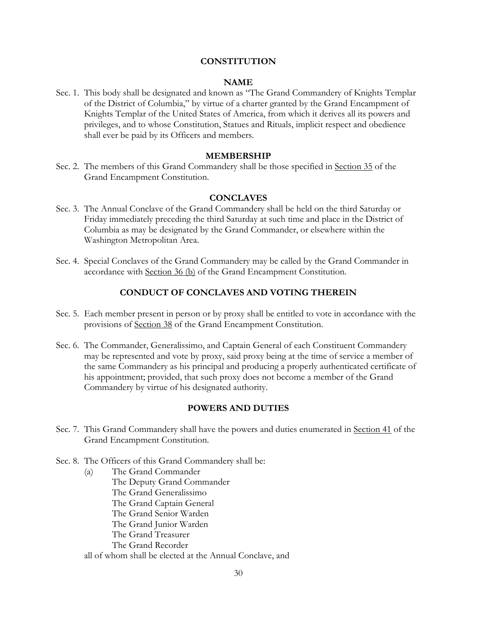#### **CONSTITUTION**

#### **NAME**

Sec. 1. This body shall be designated and known as "The Grand Commandery of Knights Templar of the District of Columbia," by virtue of a charter granted by the Grand Encampment of Knights Templar of the United States of America, from which it derives all its powers and privileges, and to whose Constitution, Statues and Rituals, implicit respect and obedience shall ever be paid by its Officers and members.

#### **MEMBERSHIP**

Sec. 2. The members of this Grand Commandery shall be those specified in Section 35 of the Grand Encampment Constitution.

#### **CONCLAVES**

- Sec. 3. The Annual Conclave of the Grand Commandery shall be held on the third Saturday or Friday immediately preceding the third Saturday at such time and place in the District of Columbia as may be designated by the Grand Commander, or elsewhere within the Washington Metropolitan Area.
- Sec. 4. Special Conclaves of the Grand Commandery may be called by the Grand Commander in accordance with Section 36 (b) of the Grand Encampment Constitution.

### **CONDUCT OF CONCLAVES AND VOTING THEREIN**

- Sec. 5. Each member present in person or by proxy shall be entitled to vote in accordance with the provisions of Section 38 of the Grand Encampment Constitution.
- Sec. 6. The Commander, Generalissimo, and Captain General of each Constituent Commandery may be represented and vote by proxy, said proxy being at the time of service a member of the same Commandery as his principal and producing a properly authenticated certificate of his appointment; provided, that such proxy does not become a member of the Grand Commandery by virtue of his designated authority.

### **POWERS AND DUTIES**

- Sec. 7. This Grand Commandery shall have the powers and duties enumerated in Section 41 of the Grand Encampment Constitution.
- Sec. 8. The Officers of this Grand Commandery shall be:
	- (a) The Grand Commander The Deputy Grand Commander The Grand Generalissimo The Grand Captain General The Grand Senior Warden The Grand Junior Warden The Grand Treasurer The Grand Recorder all of whom shall be elected at the Annual Conclave, and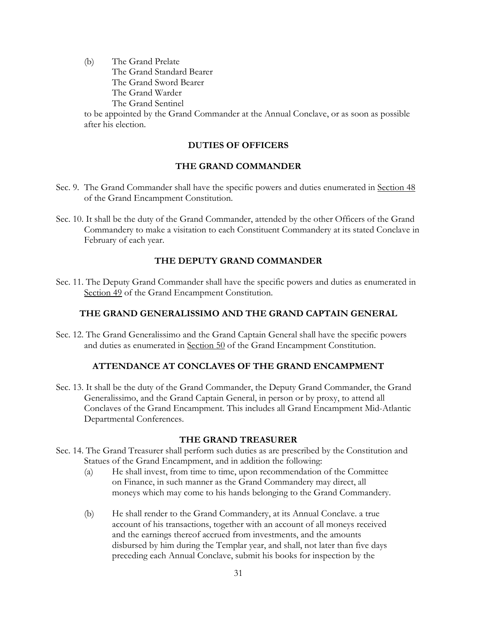(b) The Grand Prelate The Grand Standard Bearer The Grand Sword Bearer The Grand Warder The Grand Sentinel

to be appointed by the Grand Commander at the Annual Conclave, or as soon as possible after his election.

# **DUTIES OF OFFICERS**

# **THE GRAND COMMANDER**

- Sec. 9. The Grand Commander shall have the specific powers and duties enumerated in Section 48 of the Grand Encampment Constitution.
- Sec. 10. It shall be the duty of the Grand Commander, attended by the other Officers of the Grand Commandery to make a visitation to each Constituent Commandery at its stated Conclave in February of each year.

# **THE DEPUTY GRAND COMMANDER**

Sec. 11. The Deputy Grand Commander shall have the specific powers and duties as enumerated in Section 49 of the Grand Encampment Constitution.

# **THE GRAND GENERALISSIMO AND THE GRAND CAPTAIN GENERAL**

Sec. 12. The Grand Generalissimo and the Grand Captain General shall have the specific powers and duties as enumerated in Section 50 of the Grand Encampment Constitution.

## **ATTENDANCE AT CONCLAVES OF THE GRAND ENCAMPMENT**

Sec. 13. It shall be the duty of the Grand Commander, the Deputy Grand Commander, the Grand Generalissimo, and the Grand Captain General, in person or by proxy, to attend all Conclaves of the Grand Encampment. This includes all Grand Encampment Mid-Atlantic Departmental Conferences.

## **THE GRAND TREASURER**

- Sec. 14. The Grand Treasurer shall perform such duties as are prescribed by the Constitution and Statues of the Grand Encampment, and in addition the following:
	- (a) He shall invest, from time to time, upon recommendation of the Committee on Finance, in such manner as the Grand Commandery may direct, all moneys which may come to his hands belonging to the Grand Commandery.
	- (b) He shall render to the Grand Commandery, at its Annual Conclave. a true account of his transactions, together with an account of all moneys received and the earnings thereof accrued from investments, and the amounts disbursed by him during the Templar year, and shall, not later than five days preceding each Annual Conclave, submit his books for inspection by the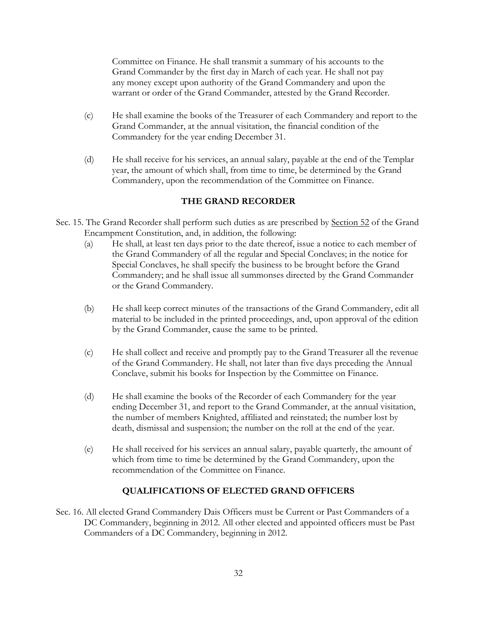Committee on Finance. He shall transmit a summary of his accounts to the Grand Commander by the first day in March of each year. He shall not pay any money except upon authority of the Grand Commandery and upon the warrant or order of the Grand Commander, attested by the Grand Recorder.

- (c) He shall examine the books of the Treasurer of each Commandery and report to the Grand Commander, at the annual visitation, the financial condition of the Commandery for the year ending December 31.
- (d) He shall receive for his services, an annual salary, payable at the end of the Templar year, the amount of which shall, from time to time, be determined by the Grand Commandery, upon the recommendation of the Committee on Finance.

# **THE GRAND RECORDER**

- Sec. 15. The Grand Recorder shall perform such duties as are prescribed by Section 52 of the Grand Encampment Constitution, and, in addition, the following:
	- (a) He shall, at least ten days prior to the date thereof, issue a notice to each member of the Grand Commandery of all the regular and Special Conclaves; in the notice for Special Conclaves, he shall specify the business to be brought before the Grand Commandery; and he shall issue all summonses directed by the Grand Commander or the Grand Commandery.
	- (b) He shall keep correct minutes of the transactions of the Grand Commandery, edit all material to be included in the printed proceedings, and, upon approval of the edition by the Grand Commander, cause the same to be printed.
	- (c) He shall collect and receive and promptly pay to the Grand Treasurer all the revenue of the Grand Commandery. He shall, not later than five days preceding the Annual Conclave, submit his books for Inspection by the Committee on Finance.
	- (d) He shall examine the books of the Recorder of each Commandery for the year ending December 31, and report to the Grand Commander, at the annual visitation, the number of members Knighted, affiliated and reinstated; the number lost by death, dismissal and suspension; the number on the roll at the end of the year.
	- (e) He shall received for his services an annual salary, payable quarterly, the amount of which from time to time be determined by the Grand Commandery, upon the recommendation of the Committee on Finance.

# **QUALIFICATIONS OF ELECTED GRAND OFFICERS**

Sec. 16. All elected Grand Commandery Dais Officers must be Current or Past Commanders of a DC Commandery, beginning in 2012. All other elected and appointed officers must be Past Commanders of a DC Commandery, beginning in 2012.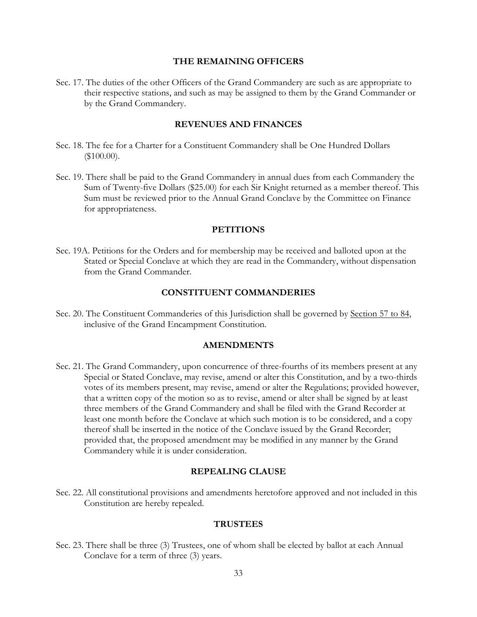#### **THE REMAINING OFFICERS**

Sec. 17. The duties of the other Officers of the Grand Commandery are such as are appropriate to their respective stations, and such as may be assigned to them by the Grand Commander or by the Grand Commandery.

### **REVENUES AND FINANCES**

- Sec. 18. The fee for a Charter for a Constituent Commandery shall be One Hundred Dollars (\$100.00).
- Sec. 19. There shall be paid to the Grand Commandery in annual dues from each Commandery the Sum of Twenty-five Dollars (\$25.00) for each Sir Knight returned as a member thereof. This Sum must be reviewed prior to the Annual Grand Conclave by the Committee on Finance for appropriateness.

### **PETITIONS**

Sec. 19A. Petitions for the Orders and for membership may be received and balloted upon at the Stated or Special Conclave at which they are read in the Commandery, without dispensation from the Grand Commander.

#### **CONSTITUENT COMMANDERIES**

Sec. 20. The Constituent Commanderies of this Jurisdiction shall be governed by Section 57 to 84, inclusive of the Grand Encampment Constitution.

#### **AMENDMENTS**

Sec. 21. The Grand Commandery, upon concurrence of three-fourths of its members present at any Special or Stated Conclave, may revise, amend or alter this Constitution, and by a two-thirds votes of its members present, may revise, amend or alter the Regulations; provided however, that a written copy of the motion so as to revise, amend or alter shall be signed by at least three members of the Grand Commandery and shall be filed with the Grand Recorder at least one month before the Conclave at which such motion is to be considered, and a copy thereof shall be inserted in the notice of the Conclave issued by the Grand Recorder; provided that, the proposed amendment may be modified in any manner by the Grand Commandery while it is under consideration.

#### **REPEALING CLAUSE**

Sec. 22. All constitutional provisions and amendments heretofore approved and not included in this Constitution are hereby repealed.

#### **TRUSTEES**

Sec. 23. There shall be three (3) Trustees, one of whom shall be elected by ballot at each Annual Conclave for a term of three (3) years.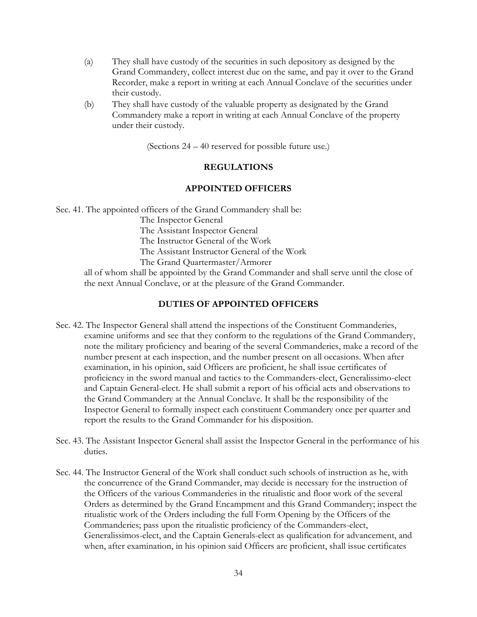- (a) They shall have custody of the securities in such depository as designed by the Grand Commandery, collect interest due on the same, and pay it over to the Grand Recorder, make a report in writing at each Annual Conclave of the securities under their custody.
- (b) They shall have custody of the valuable property as designated by the Grand Commandery make a report in writing at each Annual Conclave of the property under their custody.

(Sections 24 – 40 reserved for possible future use.)

### **REGULATIONS**

### **APPOINTED OFFICERS**

Sec. 41. The appointed officers of the Grand Commandery shall be:

The Inspector General

The Assistant Inspector General

The Instructor General of the Work

The Assistant Instructor General of the Work

The Grand Quartermaster/Armorer

all of whom shall be appointed by the Grand Commander and shall serve until the close of the next Annual Conclave, or at the pleasure of the Grand Commander.

# **DUTIES OF APPOINTED OFFICERS**

- Sec. 42. The Inspector General shall attend the inspections of the Constituent Commanderies, examine uniforms and see that they conform to the regulations of the Grand Commandery, note the military proficiency and bearing of the several Commanderies, make a record of the number present at each inspection, and the number present on all occasions. When after examination, in his opinion, said Officers are proficient, he shall issue certificates of proficiency in the sword manual and tactics to the Commanders-elect, Generalissimo-elect and Captain General-elect. He shall submit a report of his official acts and observations to the Grand Commandery at the Annual Conclave. It shall be the responsibility of the Inspector General to formally inspect each constituent Commandery once per quarter and report the results to the Grand Commander for his disposition.
- Sec. 43. The Assistant Inspector General shall assist the Inspector General in the performance of his duties.
- Sec. 44. The Instructor General of the Work shall conduct such schools of instruction as he, with the concurrence of the Grand Commander, may decide is necessary for the instruction of the Officers of the various Commanderies in the ritualistic and floor work of the several Orders as determined by the Grand Encampment and this Grand Commandery; inspect the ritualistic work of the Orders including the full Form Opening by the Officers of the Commanderies; pass upon the ritualistic proficiency of the Commanders-elect, Generalissimos-elect, and the Captain Generals-elect as qualification for advancement, and when, after examination, in his opinion said Officers are proficient, shall issue certificates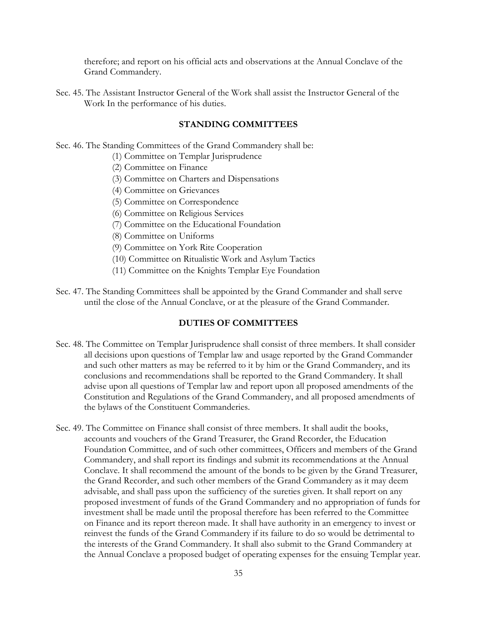therefore; and report on his official acts and observations at the Annual Conclave of the Grand Commandery.

Sec. 45. The Assistant Instructor General of the Work shall assist the Instructor General of the Work In the performance of his duties.

### **STANDING COMMITTEES**

- Sec. 46. The Standing Committees of the Grand Commandery shall be:
	- (1) Committee on Templar Jurisprudence
	- (2) Committee on Finance
	- (3) Committee on Charters and Dispensations
	- (4) Committee on Grievances
	- (5) Committee on Correspondence
	- (6) Committee on Religious Services
	- (7) Committee on the Educational Foundation
	- (8) Committee on Uniforms
	- (9) Committee on York Rite Cooperation
	- (10) Committee on Ritualistic Work and Asylum Tactics
	- (11) Committee on the Knights Templar Eye Foundation
- Sec. 47. The Standing Committees shall be appointed by the Grand Commander and shall serve until the close of the Annual Conclave, or at the pleasure of the Grand Commander.

### **DUTIES OF COMMITTEES**

- Sec. 48. The Committee on Templar Jurisprudence shall consist of three members. It shall consider all decisions upon questions of Templar law and usage reported by the Grand Commander and such other matters as may be referred to it by him or the Grand Commandery, and its conclusions and recommendations shall be reported to the Grand Commandery. It shall advise upon all questions of Templar law and report upon all proposed amendments of the Constitution and Regulations of the Grand Commandery, and all proposed amendments of the bylaws of the Constituent Commanderies.
- Sec. 49. The Committee on Finance shall consist of three members. It shall audit the books, accounts and vouchers of the Grand Treasurer, the Grand Recorder, the Education Foundation Committee, and of such other committees, Officers and members of the Grand Commandery, and shall report its findings and submit its recommendations at the Annual Conclave. It shall recommend the amount of the bonds to be given by the Grand Treasurer, the Grand Recorder, and such other members of the Grand Commandery as it may deem advisable, and shall pass upon the sufficiency of the sureties given. It shall report on any proposed investment of funds of the Grand Commandery and no appropriation of funds for investment shall be made until the proposal therefore has been referred to the Committee on Finance and its report thereon made. It shall have authority in an emergency to invest or reinvest the funds of the Grand Commandery if its failure to do so would be detrimental to the interests of the Grand Commandery. It shall also submit to the Grand Commandery at the Annual Conclave a proposed budget of operating expenses for the ensuing Templar year.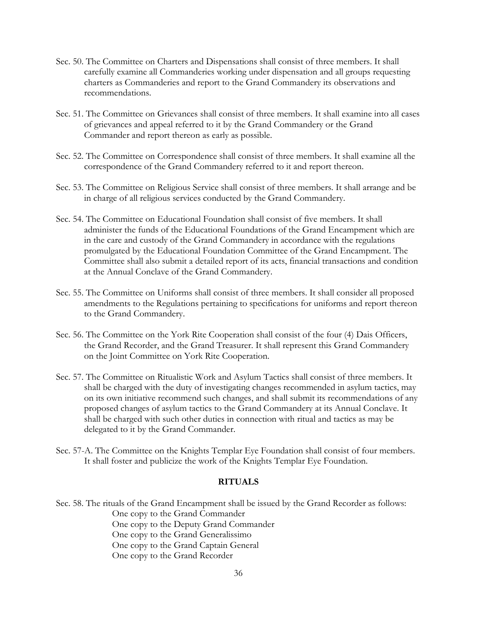- Sec. 50. The Committee on Charters and Dispensations shall consist of three members. It shall carefully examine all Commanderies working under dispensation and all groups requesting charters as Commanderies and report to the Grand Commandery its observations and recommendations.
- Sec. 51. The Committee on Grievances shall consist of three members. It shall examine into all cases of grievances and appeal referred to it by the Grand Commandery or the Grand Commander and report thereon as early as possible.
- Sec. 52. The Committee on Correspondence shall consist of three members. It shall examine all the correspondence of the Grand Commandery referred to it and report thereon.
- Sec. 53. The Committee on Religious Service shall consist of three members. It shall arrange and be in charge of all religious services conducted by the Grand Commandery.
- Sec. 54. The Committee on Educational Foundation shall consist of five members. It shall administer the funds of the Educational Foundations of the Grand Encampment which are in the care and custody of the Grand Commandery in accordance with the regulations promulgated by the Educational Foundation Committee of the Grand Encampment. The Committee shall also submit a detailed report of its acts, financial transactions and condition at the Annual Conclave of the Grand Commandery.
- Sec. 55. The Committee on Uniforms shall consist of three members. It shall consider all proposed amendments to the Regulations pertaining to specifications for uniforms and report thereon to the Grand Commandery.
- Sec. 56. The Committee on the York Rite Cooperation shall consist of the four (4) Dais Officers, the Grand Recorder, and the Grand Treasurer. It shall represent this Grand Commandery on the Joint Committee on York Rite Cooperation.
- Sec. 57. The Committee on Ritualistic Work and Asylum Tactics shall consist of three members. It shall be charged with the duty of investigating changes recommended in asylum tactics, may on its own initiative recommend such changes, and shall submit its recommendations of any proposed changes of asylum tactics to the Grand Commandery at its Annual Conclave. It shall be charged with such other duties in connection with ritual and tactics as may be delegated to it by the Grand Commander.
- Sec. 57-A. The Committee on the Knights Templar Eye Foundation shall consist of four members. It shall foster and publicize the work of the Knights Templar Eye Foundation.

## **RITUALS**

Sec. 58. The rituals of the Grand Encampment shall be issued by the Grand Recorder as follows: One copy to the Grand Commander One copy to the Deputy Grand Commander One copy to the Grand Generalissimo One copy to the Grand Captain General One copy to the Grand Recorder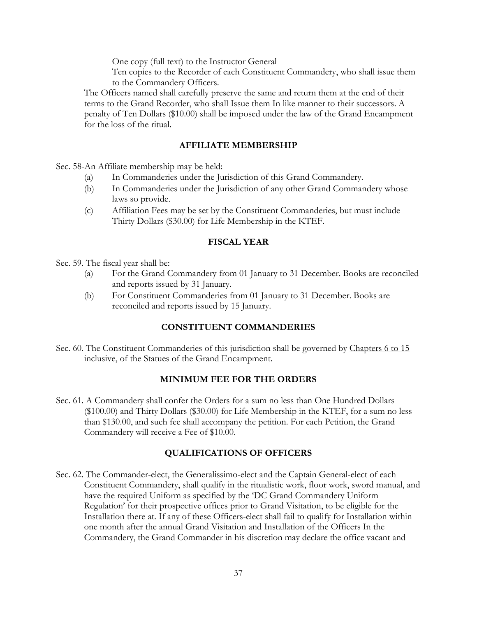One copy (full text) to the Instructor General

Ten copies to the Recorder of each Constituent Commandery, who shall issue them to the Commandery Officers.

The Officers named shall carefully preserve the same and return them at the end of their terms to the Grand Recorder, who shall Issue them In like manner to their successors. A penalty of Ten Dollars (\$10.00) shall be imposed under the law of the Grand Encampment for the loss of the ritual.

### **AFFILIATE MEMBERSHIP**

Sec. 58-An Affiliate membership may be held:

- (a) In Commanderies under the Jurisdiction of this Grand Commandery.
- (b) In Commanderies under the Jurisdiction of any other Grand Commandery whose laws so provide.
- (c) Affiliation Fees may be set by the Constituent Commanderies, but must include Thirty Dollars (\$30.00) for Life Membership in the KTEF.

### **FISCAL YEAR**

Sec. 59. The fiscal year shall be:

- (a) For the Grand Commandery from 01 January to 31 December. Books are reconciled and reports issued by 31 January.
- (b) For Constituent Commanderies from 01 January to 31 December. Books are reconciled and reports issued by 15 January.

## **CONSTITUENT COMMANDERIES**

Sec. 60. The Constituent Commanderies of this jurisdiction shall be governed by Chapters 6 to 15 inclusive, of the Statues of the Grand Encampment.

### **MINIMUM FEE FOR THE ORDERS**

Sec. 61. A Commandery shall confer the Orders for a sum no less than One Hundred Dollars (\$100.00) and Thirty Dollars (\$30.00) for Life Membership in the KTEF, for a sum no less than \$130.00, and such fee shall accompany the petition. For each Petition, the Grand Commandery will receive a Fee of \$10.00.

### **QUALIFICATIONS OF OFFICERS**

Sec. 62. The Commander-elect, the Generalissimo-elect and the Captain General-elect of each Constituent Commandery, shall qualify in the ritualistic work, floor work, sword manual, and have the required Uniform as specified by the 'DC Grand Commandery Uniform Regulation' for their prospective offices prior to Grand Visitation, to be eligible for the Installation there at. If any of these Officers-elect shall fail to qualify for Installation within one month after the annual Grand Visitation and Installation of the Officers In the Commandery, the Grand Commander in his discretion may declare the office vacant and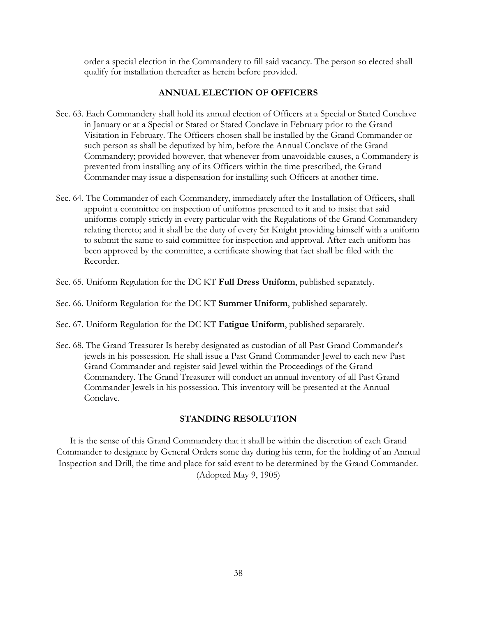order a special election in the Commandery to fill said vacancy. The person so elected shall qualify for installation thereafter as herein before provided.

### **ANNUAL ELECTION OF OFFICERS**

- Sec. 63. Each Commandery shall hold its annual election of Officers at a Special or Stated Conclave in January or at a Special or Stated or Stated Conclave in February prior to the Grand Visitation in February. The Officers chosen shall be installed by the Grand Commander or such person as shall be deputized by him, before the Annual Conclave of the Grand Commandery; provided however, that whenever from unavoidable causes, a Commandery is prevented from installing any of its Officers within the time prescribed, the Grand Commander may issue a dispensation for installing such Officers at another time.
- Sec. 64. The Commander of each Commandery, immediately after the Installation of Officers, shall appoint a committee on inspection of uniforms presented to it and to insist that said uniforms comply strictly in every particular with the Regulations of the Grand Commandery relating thereto; and it shall be the duty of every Sir Knight providing himself with a uniform to submit the same to said committee for inspection and approval. After each uniform has been approved by the committee, a certificate showing that fact shall be filed with the Recorder.
- Sec. 65. Uniform Regulation for the DC KT **Full Dress Uniform**, published separately.

Sec. 66. Uniform Regulation for the DC KT **Summer Uniform**, published separately.

Sec. 67. Uniform Regulation for the DC KT **Fatigue Uniform**, published separately.

Sec. 68. The Grand Treasurer Is hereby designated as custodian of all Past Grand Commander's jewels in his possession. He shall issue a Past Grand Commander Jewel to each new Past Grand Commander and register said Jewel within the Proceedings of the Grand Commandery. The Grand Treasurer will conduct an annual inventory of all Past Grand Commander Jewels in his possession. This inventory will be presented at the Annual Conclave.

### **STANDING RESOLUTION**

It is the sense of this Grand Commandery that it shall be within the discretion of each Grand Commander to designate by General Orders some day during his term, for the holding of an Annual Inspection and Drill, the time and place for said event to be determined by the Grand Commander. (Adopted May 9, 1905)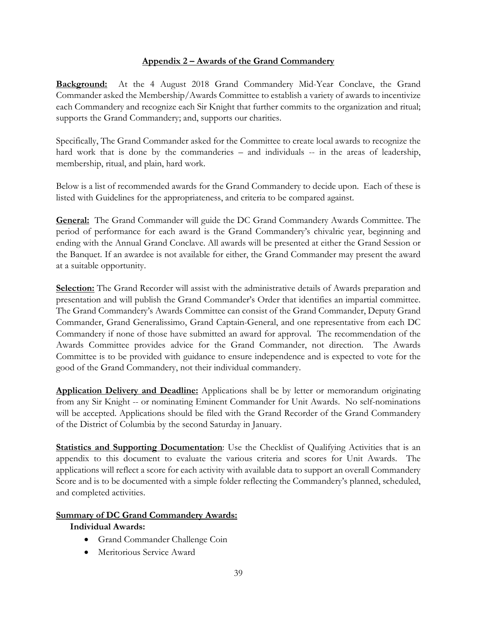# **Appendix 2 – Awards of the Grand Commandery**

**Background:** At the 4 August 2018 Grand Commandery Mid-Year Conclave, the Grand Commander asked the Membership/Awards Committee to establish a variety of awards to incentivize each Commandery and recognize each Sir Knight that further commits to the organization and ritual; supports the Grand Commandery; and, supports our charities.

Specifically, The Grand Commander asked for the Committee to create local awards to recognize the hard work that is done by the commanderies – and individuals -- in the areas of leadership, membership, ritual, and plain, hard work.

Below is a list of recommended awards for the Grand Commandery to decide upon. Each of these is listed with Guidelines for the appropriateness, and criteria to be compared against.

**General:** The Grand Commander will guide the DC Grand Commandery Awards Committee. The period of performance for each award is the Grand Commandery's chivalric year, beginning and ending with the Annual Grand Conclave. All awards will be presented at either the Grand Session or the Banquet. If an awardee is not available for either, the Grand Commander may present the award at a suitable opportunity.

**Selection:** The Grand Recorder will assist with the administrative details of Awards preparation and presentation and will publish the Grand Commander's Order that identifies an impartial committee. The Grand Commandery's Awards Committee can consist of the Grand Commander, Deputy Grand Commander, Grand Generalissimo, Grand Captain-General, and one representative from each DC Commandery if none of those have submitted an award for approval. The recommendation of the Awards Committee provides advice for the Grand Commander, not direction. The Awards Committee is to be provided with guidance to ensure independence and is expected to vote for the good of the Grand Commandery, not their individual commandery.

**Application Delivery and Deadline:** Applications shall be by letter or memorandum originating from any Sir Knight -- or nominating Eminent Commander for Unit Awards. No self-nominations will be accepted. Applications should be filed with the Grand Recorder of the Grand Commandery of the District of Columbia by the second Saturday in January.

**Statistics and Supporting Documentation**: Use the Checklist of Qualifying Activities that is an appendix to this document to evaluate the various criteria and scores for Unit Awards. The applications will reflect a score for each activity with available data to support an overall Commandery Score and is to be documented with a simple folder reflecting the Commandery's planned, scheduled, and completed activities.

# **Summary of DC Grand Commandery Awards:**

## **Individual Awards:**

- Grand Commander Challenge Coin
- Meritorious Service Award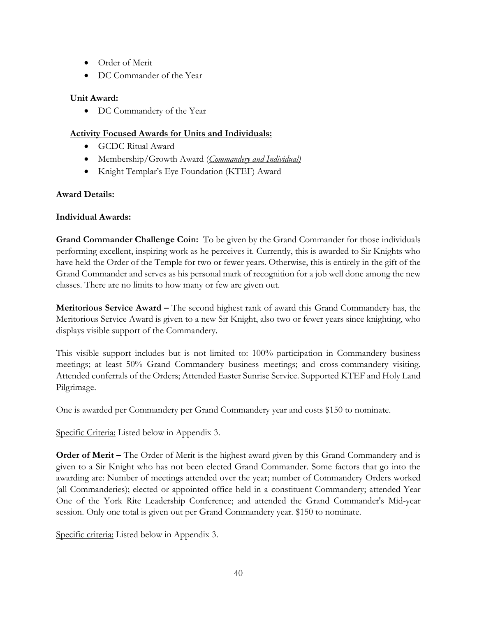- Order of Merit
- DC Commander of the Year

# **Unit Award:**

• DC Commandery of the Year

# **Activity Focused Awards for Units and Individuals:**

- GCDC Ritual Award
- Membership/Growth Award (*Commandery and Individual)*
- Knight Templar's Eye Foundation (KTEF) Award

# **Award Details:**

# **Individual Awards:**

**Grand Commander Challenge Coin:** To be given by the Grand Commander for those individuals performing excellent, inspiring work as he perceives it. Currently, this is awarded to Sir Knights who have held the Order of the Temple for two or fewer years. Otherwise, this is entirely in the gift of the Grand Commander and serves as his personal mark of recognition for a job well done among the new classes. There are no limits to how many or few are given out.

**Meritorious Service Award –** The second highest rank of award this Grand Commandery has, the Meritorious Service Award is given to a new Sir Knight, also two or fewer years since knighting, who displays visible support of the Commandery.

This visible support includes but is not limited to: 100% participation in Commandery business meetings; at least 50% Grand Commandery business meetings; and cross-commandery visiting. Attended conferrals of the Orders; Attended Easter Sunrise Service. Supported KTEF and Holy Land Pilgrimage.

One is awarded per Commandery per Grand Commandery year and costs \$150 to nominate.

Specific Criteria: Listed below in Appendix 3.

**Order of Merit –** The Order of Merit is the highest award given by this Grand Commandery and is given to a Sir Knight who has not been elected Grand Commander. Some factors that go into the awarding are: Number of meetings attended over the year; number of Commandery Orders worked (all Commanderies); elected or appointed office held in a constituent Commandery; attended Year One of the York Rite Leadership Conference; and attended the Grand Commander's Mid-year session. Only one total is given out per Grand Commandery year. \$150 to nominate.

Specific criteria: Listed below in Appendix 3.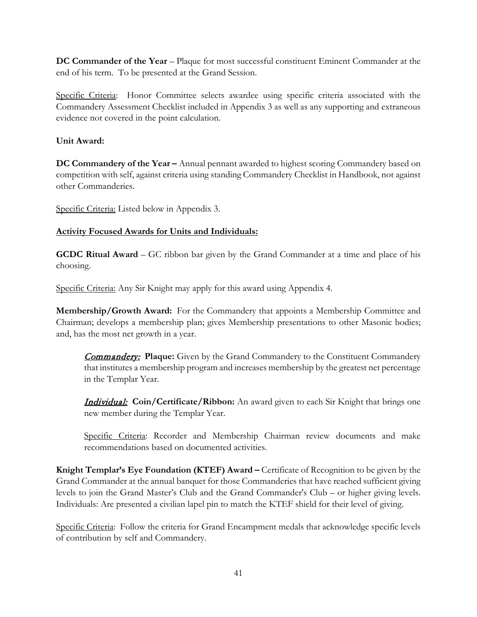**DC Commander of the Year** – Plaque for most successful constituent Eminent Commander at the end of his term. To be presented at the Grand Session.

Specific Criteria: Honor Committee selects awardee using specific criteria associated with the Commandery Assessment Checklist included in Appendix 3 as well as any supporting and extraneous evidence not covered in the point calculation.

# **Unit Award:**

**DC Commandery of the Year –** Annual pennant awarded to highest scoring Commandery based on competition with self, against criteria using standing Commandery Checklist in Handbook, not against other Commanderies.

Specific Criteria: Listed below in Appendix 3.

# **Activity Focused Awards for Units and Individuals:**

**GCDC Ritual Award** – GC ribbon bar given by the Grand Commander at a time and place of his choosing.

Specific Criteria: Any Sir Knight may apply for this award using Appendix 4.

**Membership/Growth Award:** For the Commandery that appoints a Membership Committee and Chairman; develops a membership plan; gives Membership presentations to other Masonic bodies; and, has the most net growth in a year.

**Commandery:** Plaque: Given by the Grand Commandery to the Constituent Commandery that institutes a membership program and increases membership by the greatest net percentage in the Templar Year.

Individual: **Coin/Certificate/Ribbon:** An award given to each Sir Knight that brings one new member during the Templar Year.

Specific Criteria: Recorder and Membership Chairman review documents and make recommendations based on documented activities.

**Knight Templar's Eye Foundation (KTEF) Award –** Certificate of Recognition to be given by the Grand Commander at the annual banquet for those Commanderies that have reached sufficient giving levels to join the Grand Master's Club and the Grand Commander's Club – or higher giving levels. Individuals: Are presented a civilian lapel pin to match the KTEF shield for their level of giving.

Specific Criteria: Follow the criteria for Grand Encampment medals that acknowledge specific levels of contribution by self and Commandery.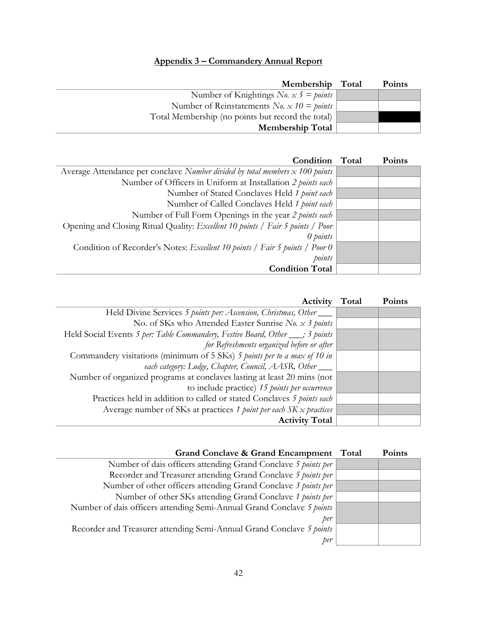# **Appendix 3 – Commandery Annual Report**

| Membership                                        | Total | <b>Points</b> |
|---------------------------------------------------|-------|---------------|
| Number of Knightings <i>No.</i> $x 5 =$ points    |       |               |
| Number of Reinstatements No. $x 10 = points$      |       |               |
| Total Membership (no points but record the total) |       |               |
| <b>Membership Total</b>                           |       |               |

| Condition                                                                      | Total | Points |
|--------------------------------------------------------------------------------|-------|--------|
| Average Attendance per conclave Number divided by total members x 100 points   |       |        |
| Number of Officers in Uniform at Installation 2 points each                    |       |        |
| Number of Stated Conclaves Held 1 point each                                   |       |        |
| Number of Called Conclaves Held 1 point each                                   |       |        |
| Number of Full Form Openings in the year 2 points each                         |       |        |
| Opening and Closing Ritual Quality: Excellent 10 points / Fair 5 points / Poor |       |        |
| $\theta$ points                                                                |       |        |
| Condition of Recorder's Notes: Excellent 10 points / Fair 5 points / Poor 0    |       |        |
| points                                                                         |       |        |
| <b>Condition Total</b>                                                         |       |        |

| Activity                                                                       | Total | <b>Points</b> |
|--------------------------------------------------------------------------------|-------|---------------|
| Held Divine Services 5 points per: Ascension, Christmas, Other                 |       |               |
| No. of SKs who Attended Easter Sunrise No. x 3 points                          |       |               |
| Held Social Events 5 per: Table Commandery, Festive Board, Other ___; 3 points |       |               |
| for Refreshments organized before or after                                     |       |               |
| Commandery visitations (minimum of 5 SKs) 5 points per to a max of 10 in       |       |               |
| each category: Lodge, Chapter, Council, AASR, Other                            |       |               |
| Number of organized programs at conclaves lasting at least 20 mins (not        |       |               |
| to include practice) 15 points per occurrence                                  |       |               |
| Practices held in addition to called or stated Conclaves 5 points each         |       |               |
| Average number of SKs at practices 1 point per each $SK \times$ practices      |       |               |
| <b>Activity Total</b>                                                          |       |               |

| Grand Conclave & Grand Encampment Total                               | <b>Points</b> |
|-----------------------------------------------------------------------|---------------|
| Number of dais officers attending Grand Conclave 5 points per         |               |
| Recorder and Treasurer attending Grand Conclave 5 points per          |               |
| Number of other officers attending Grand Conclave 3 points per        |               |
| Number of other SKs attending Grand Conclave 1 points per             |               |
| Number of dais officers attending Semi-Annual Grand Conclave 5 points |               |
| per                                                                   |               |
| Recorder and Treasurer attending Semi-Annual Grand Conclave 5 points  |               |
| per                                                                   |               |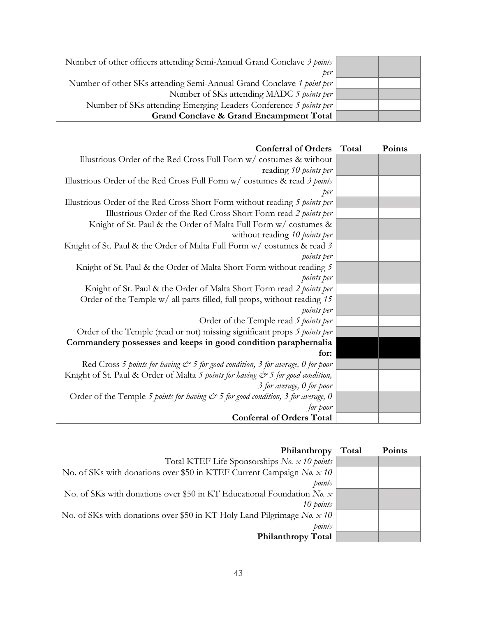| Number of other officers attending Semi-Annual Grand Conclave 3 points |  |
|------------------------------------------------------------------------|--|
| per                                                                    |  |
| Number of other SKs attending Semi-Annual Grand Conclave 1 point per   |  |
| Number of SKs attending MADC 5 points per                              |  |
| Number of SKs attending Emerging Leaders Conference 5 points per       |  |
| <b>Grand Conclave &amp; Grand Encampment Total</b>                     |  |

| <b>Conferral of Orders</b>                                                                     | Total | Points |
|------------------------------------------------------------------------------------------------|-------|--------|
| Illustrious Order of the Red Cross Full Form w/ costumes & without                             |       |        |
| reading 10 points per                                                                          |       |        |
| Illustrious Order of the Red Cross Full Form w/ costumes & read 3 points                       |       |        |
| per                                                                                            |       |        |
| Illustrious Order of the Red Cross Short Form without reading 5 points per                     |       |        |
| Illustrious Order of the Red Cross Short Form read 2 points per                                |       |        |
| Knight of St. Paul & the Order of Malta Full Form w/ costumes &                                |       |        |
| without reading 10 points per                                                                  |       |        |
| Knight of St. Paul & the Order of Malta Full Form w/ costumes & read 3                         |       |        |
| points per                                                                                     |       |        |
| Knight of St. Paul & the Order of Malta Short Form without reading 5                           |       |        |
| points per                                                                                     |       |        |
| Knight of St. Paul & the Order of Malta Short Form read 2 points per                           |       |        |
| Order of the Temple w/ all parts filled, full props, without reading 15                        |       |        |
| points per                                                                                     |       |        |
| Order of the Temple read 5 points per                                                          |       |        |
| Order of the Temple (read or not) missing significant props 5 points per                       |       |        |
| Commandery possesses and keeps in good condition paraphernalia                                 |       |        |
| for:                                                                                           |       |        |
| Red Cross 5 points for having $\mathcal{C}^*$ 5 for good condition, 3 for average, 0 for poor  |       |        |
| Knight of St. Paul & Order of Malta 5 points for having $e^s$ 5 for good condition,            |       |        |
| 3 for average, 0 for poor                                                                      |       |        |
| Order of the Temple 5 points for having $\mathcal{C}^*$ 5 for good condition, 3 for average, 0 |       |        |
| for poor                                                                                       |       |        |
| <b>Conferral of Orders Total</b>                                                               |       |        |

| Philanthropy                                                                 | Total | Points |
|------------------------------------------------------------------------------|-------|--------|
| Total KTEF Life Sponsorships No. x 10 points                                 |       |        |
| No. of SKs with donations over \$50 in KTEF Current Campaign No. x 10        |       |        |
| points                                                                       |       |        |
| No. of SKs with donations over \$50 in KT Educational Foundation $N_{0}$ . x |       |        |
| 10 points                                                                    |       |        |
| No. of SKs with donations over \$50 in KT Holy Land Pilgrimage No. $x$ 10    |       |        |
| points                                                                       |       |        |
| <b>Philanthropy Total</b>                                                    |       |        |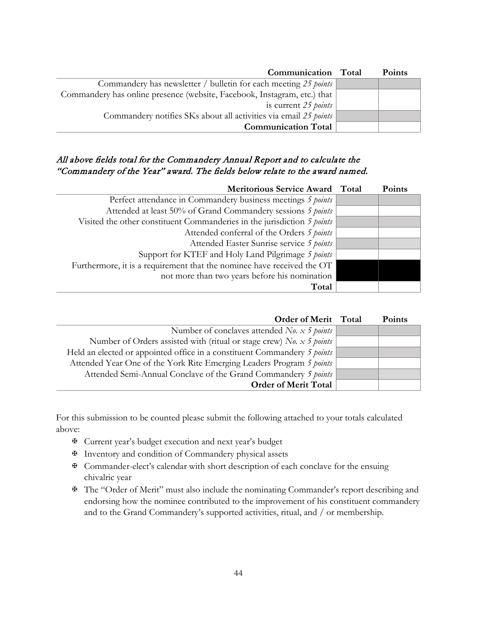| Communication Total                                                      | <b>Points</b> |
|--------------------------------------------------------------------------|---------------|
| Commandery has newsletter / bulletin for each meeting 25 points          |               |
| Commandery has online presence (website, Facebook, Instagram, etc.) that |               |
| is current 25 <i>points</i>                                              |               |
| Commandery notifies SKs about all activities via email 25 points         |               |
| <b>Communication Total</b>                                               |               |

## All above fields total for the Commandery Annual Report and to calculate the "Commandery of the Year" award. The fields below relate to the award named.

| Meritorious Service Award Total                                         | Points |
|-------------------------------------------------------------------------|--------|
| Perfect attendance in Commandery business meetings 5 points             |        |
| Attended at least 50% of Grand Commandery sessions 5 points             |        |
| Visited the other constituent Commanderies in the jurisdiction 5 points |        |
| Attended conferral of the Orders 5 points                               |        |
| Attended Easter Sunrise service 5 points                                |        |
| Support for KTEF and Holy Land Pilgrimage 5 points                      |        |
| Furthermore, it is a requirement that the nominee have received the OT  |        |
| not more than two years before his nomination                           |        |
| Total                                                                   |        |

| Order of Merit Total                                                     | <b>Points</b> |
|--------------------------------------------------------------------------|---------------|
| Number of conclaves attended No. $x$ 5 points                            |               |
| Number of Orders assisted with (ritual or stage crew) No. $x$ 5 points   |               |
| Held an elected or appointed office in a constituent Commandery 5 points |               |
| Attended Year One of the York Rite Emerging Leaders Program 5 points     |               |
| Attended Semi-Annual Conclave of the Grand Commandery 5 points           |               |
| <b>Order of Merit Total</b>                                              |               |

For this submission to be counted please submit the following attached to your totals calculated above:

- ✠ Current year's budget execution and next year's budget
- ✠ Inventory and condition of Commandery physical assets
- ✠ Commander-elect's calendar with short description of each conclave for the ensuing chivalric year
- ✠ The "Order of Merit" must also include the nominating Commander's report describing and endorsing how the nominee contributed to the improvement of his constituent commandery and to the Grand Commandery's supported activities, ritual, and / or membership.